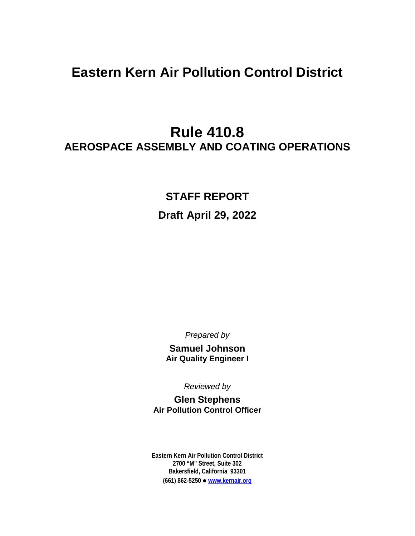# **Eastern Kern Air Pollution Control District**

# **Rule 410.8 AEROSPACE ASSEMBLY AND COATING OPERATIONS**

# **STAFF REPORT Draft April 29, 2022**

*Prepared by*

**Samuel Johnson Air Quality Engineer I**

*Reviewed by*

**Glen Stephens Air Pollution Control Officer**

**Eastern Kern Air Pollution Control District 2700 "M" Street, Suite 302 Bakersfield, California 93301 (661) 862-5250 [www.kernair.org](http://www.kernair.org/)**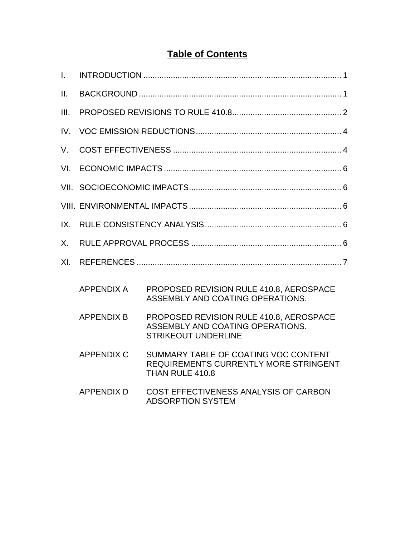## **Table of Contents**

| $\overline{L}$ |                                                                                                                                |                                                                                                  |  |  |  |
|----------------|--------------------------------------------------------------------------------------------------------------------------------|--------------------------------------------------------------------------------------------------|--|--|--|
| II.            |                                                                                                                                |                                                                                                  |  |  |  |
| III.           |                                                                                                                                |                                                                                                  |  |  |  |
| IV.            |                                                                                                                                |                                                                                                  |  |  |  |
| V.             |                                                                                                                                |                                                                                                  |  |  |  |
| VI.            |                                                                                                                                |                                                                                                  |  |  |  |
| VII.           |                                                                                                                                |                                                                                                  |  |  |  |
|                |                                                                                                                                |                                                                                                  |  |  |  |
| IX.            |                                                                                                                                |                                                                                                  |  |  |  |
| Χ.             |                                                                                                                                |                                                                                                  |  |  |  |
| XI.            |                                                                                                                                |                                                                                                  |  |  |  |
|                | <b>APPENDIX A</b>                                                                                                              | PROPOSED REVISION RULE 410.8, AEROSPACE<br>ASSEMBLY AND COATING OPERATIONS.                      |  |  |  |
|                | <b>APPENDIX B</b><br>PROPOSED REVISION RULE 410.8, AEROSPACE<br>ASSEMBLY AND COATING OPERATIONS.<br><b>STRIKEOUT UNDERLINE</b> |                                                                                                  |  |  |  |
|                | <b>APPENDIX C</b>                                                                                                              | SUMMARY TABLE OF COATING VOC CONTENT<br>REQUIREMENTS CURRENTLY MORE STRINGENT<br>THAN RULE 410.8 |  |  |  |
|                | <b>APPENDIX D</b>                                                                                                              | COST EFFECTIVENESS ANALYSIS OF CARBON<br><b>ADSORPTION SYSTEM</b>                                |  |  |  |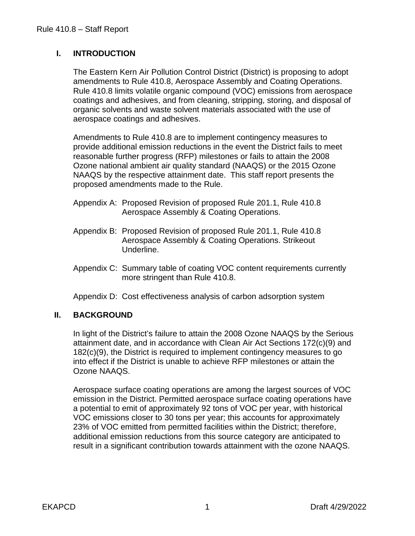#### **I. INTRODUCTION**

The Eastern Kern Air Pollution Control District (District) is proposing to adopt amendments to Rule 410.8, Aerospace Assembly and Coating Operations. Rule 410.8 limits volatile organic compound (VOC) emissions from aerospace coatings and adhesives, and from cleaning, stripping, storing, and disposal of organic solvents and waste solvent materials associated with the use of aerospace coatings and adhesives.

Amendments to Rule 410.8 are to implement contingency measures to provide additional emission reductions in the event the District fails to meet reasonable further progress (RFP) milestones or fails to attain the 2008 Ozone national ambient air quality standard (NAAQS) or the 2015 Ozone NAAQS by the respective attainment date. This staff report presents the proposed amendments made to the Rule.

- Appendix A: Proposed Revision of proposed Rule 201.1, Rule 410.8 Aerospace Assembly & Coating Operations.
- Appendix B: Proposed Revision of proposed Rule 201.1, Rule 410.8 Aerospace Assembly & Coating Operations. Strikeout Underline.
- Appendix C: Summary table of coating VOC content requirements currently more stringent than Rule 410.8.

Appendix D: Cost effectiveness analysis of carbon adsorption system

#### **II. BACKGROUND**

In light of the District's failure to attain the 2008 Ozone NAAQS by the Serious attainment date, and in accordance with Clean Air Act Sections 172(c)(9) and 182(c)(9), the District is required to implement contingency measures to go into effect if the District is unable to achieve RFP milestones or attain the Ozone NAAQS.

Aerospace surface coating operations are among the largest sources of VOC emission in the District. Permitted aerospace surface coating operations have a potential to emit of approximately 92 tons of VOC per year, with historical VOC emissions closer to 30 tons per year; this accounts for approximately 23% of VOC emitted from permitted facilities within the District; therefore, additional emission reductions from this source category are anticipated to result in a significant contribution towards attainment with the ozone NAAQS.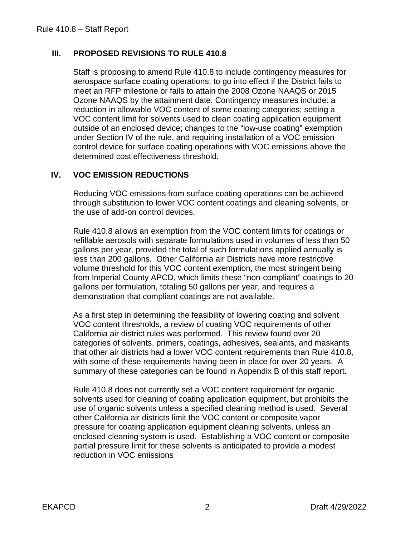#### **III. PROPOSED REVISIONS TO RULE 410.8**

Staff is proposing to amend Rule 410.8 to include contingency measures for aerospace surface coating operations, to go into effect if the District fails to meet an RFP milestone or fails to attain the 2008 Ozone NAAQS or 2015 Ozone NAAQS by the attainment date. Contingency measures include: a reduction in allowable VOC content of some coating categories; setting a VOC content limit for solvents used to clean coating application equipment outside of an enclosed device; changes to the "low-use coating" exemption under Section IV of the rule, and requiring installation of a VOC emission control device for surface coating operations with VOC emissions above the determined cost effectiveness threshold.

#### **IV. VOC EMISSION REDUCTIONS**

Reducing VOC emissions from surface coating operations can be achieved through substitution to lower VOC content coatings and cleaning solvents, or the use of add-on control devices.

Rule 410.8 allows an exemption from the VOC content limits for coatings or refillable aerosols with separate formulations used in volumes of less than 50 gallons per year, provided the total of such formulations applied annually is less than 200 gallons. Other California air Districts have more restrictive volume threshold for this VOC content exemption, the most stringent being from Imperial County APCD, which limits these "non-compliant" coatings to 20 gallons per formulation, totaling 50 gallons per year, and requires a demonstration that compliant coatings are not available.

As a first step in determining the feasibility of lowering coating and solvent VOC content thresholds, a review of coating VOC requirements of other California air district rules was performed. This review found over 20 categories of solvents, primers, coatings, adhesives, sealants, and maskants that other air districts had a lower VOC content requirements than Rule 410.8, with some of these requirements having been in place for over 20 years. A summary of these categories can be found in Appendix B of this staff report.

Rule 410.8 does not currently set a VOC content requirement for organic solvents used for cleaning of coating application equipment, but prohibits the use of organic solvents unless a specified cleaning method is used. Several other California air districts limit the VOC content or composite vapor pressure for coating application equipment cleaning solvents, unless an enclosed cleaning system is used. Establishing a VOC content or composite partial pressure limit for these solvents is anticipated to provide a modest reduction in VOC emissions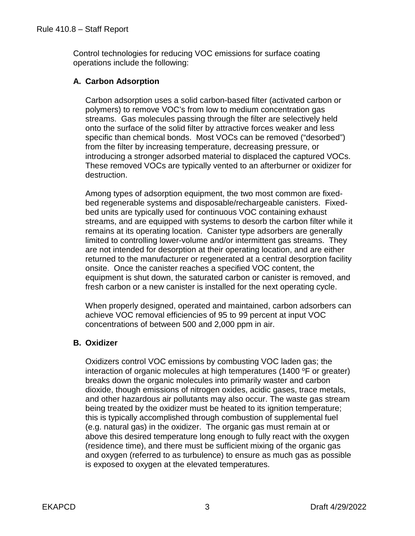Control technologies for reducing VOC emissions for surface coating operations include the following:

#### **A. Carbon Adsorption**

Carbon adsorption uses a solid carbon-based filter (activated carbon or polymers) to remove VOC's from low to medium concentration gas streams. Gas molecules passing through the filter are selectively held onto the surface of the solid filter by attractive forces weaker and less specific than chemical bonds. Most VOCs can be removed ("desorbed") from the filter by increasing temperature, decreasing pressure, or introducing a stronger adsorbed material to displaced the captured VOCs. These removed VOCs are typically vented to an afterburner or oxidizer for destruction.

Among types of adsorption equipment, the two most common are fixedbed regenerable systems and disposable/rechargeable canisters. Fixedbed units are typically used for continuous VOC containing exhaust streams, and are equipped with systems to desorb the carbon filter while it remains at its operating location. Canister type adsorbers are generally limited to controlling lower-volume and/or intermittent gas streams. They are not intended for desorption at their operating location, and are either returned to the manufacturer or regenerated at a central desorption facility onsite. Once the canister reaches a specified VOC content, the equipment is shut down, the saturated carbon or canister is removed, and fresh carbon or a new canister is installed for the next operating cycle.

When properly designed, operated and maintained, carbon adsorbers can achieve VOC removal efficiencies of 95 to 99 percent at input VOC concentrations of between 500 and 2,000 ppm in air.

#### **B. Oxidizer**

Oxidizers control VOC emissions by combusting VOC laden gas; the interaction of organic molecules at high temperatures (1400  $\degree$ F or greater) breaks down the organic molecules into primarily waster and carbon dioxide, though emissions of nitrogen oxides, acidic gases, trace metals, and other hazardous air pollutants may also occur. The waste gas stream being treated by the oxidizer must be heated to its ignition temperature; this is typically accomplished through combustion of supplemental fuel (e.g. natural gas) in the oxidizer. The organic gas must remain at or above this desired temperature long enough to fully react with the oxygen (residence time), and there must be sufficient mixing of the organic gas and oxygen (referred to as turbulence) to ensure as much gas as possible is exposed to oxygen at the elevated temperatures.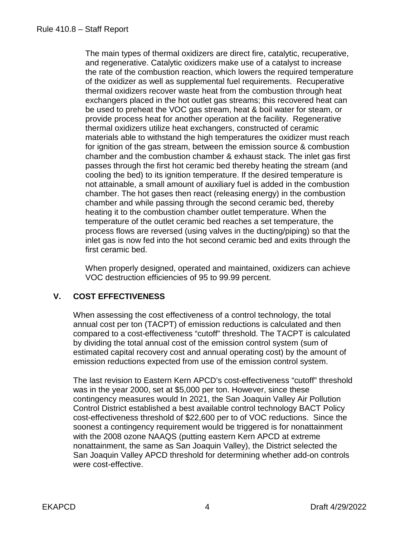The main types of thermal oxidizers are direct fire, catalytic, recuperative, and regenerative. Catalytic oxidizers make use of a catalyst to increase the rate of the combustion reaction, which lowers the required temperature of the oxidizer as well as supplemental fuel requirements. Recuperative thermal oxidizers recover waste heat from the combustion through heat exchangers placed in the hot outlet gas streams; this recovered heat can be used to preheat the VOC gas stream, heat & boil water for steam, or provide process heat for another operation at the facility. Regenerative thermal oxidizers utilize heat exchangers, constructed of ceramic materials able to withstand the high temperatures the oxidizer must reach for ignition of the gas stream, between the emission source & combustion chamber and the combustion chamber & exhaust stack. The inlet gas first passes through the first hot ceramic bed thereby heating the stream (and cooling the bed) to its ignition temperature. If the desired temperature is not attainable, a small amount of auxiliary fuel is added in the combustion chamber. The hot gases then react (releasing energy) in the combustion chamber and while passing through the second ceramic bed, thereby heating it to the combustion chamber outlet temperature. When the temperature of the outlet ceramic bed reaches a set temperature, the process flows are reversed (using valves in the ducting/piping) so that the inlet gas is now fed into the hot second ceramic bed and exits through the first ceramic bed.

When properly designed, operated and maintained, oxidizers can achieve VOC destruction efficiencies of 95 to 99.99 percent.

#### **V. COST EFFECTIVENESS**

When assessing the cost effectiveness of a control technology, the total annual cost per ton (TACPT) of emission reductions is calculated and then compared to a cost-effectiveness "cutoff" threshold. The TACPT is calculated by dividing the total annual cost of the emission control system (sum of estimated capital recovery cost and annual operating cost) by the amount of emission reductions expected from use of the emission control system.

The last revision to Eastern Kern APCD's cost-effectiveness "cutoff" threshold was in the year 2000, set at \$5,000 per ton. However, since these contingency measures would In 2021, the San Joaquin Valley Air Pollution Control District established a best available control technology BACT Policy cost-effectiveness threshold of \$22,600 per to of VOC reductions. Since the soonest a contingency requirement would be triggered is for nonattainment with the 2008 ozone NAAQS (putting eastern Kern APCD at extreme nonattainment, the same as San Joaquin Valley), the District selected the San Joaquin Valley APCD threshold for determining whether add-on controls were cost-effective.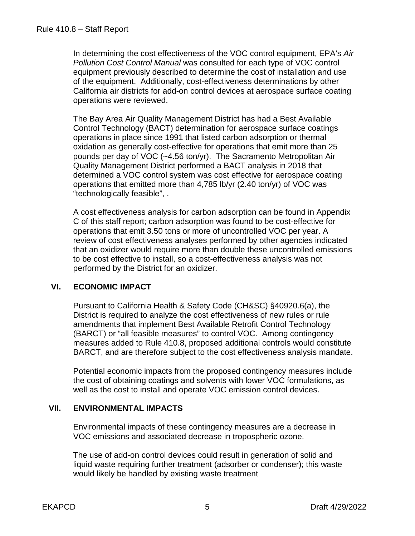In determining the cost effectiveness of the VOC control equipment, EPA's *Air Pollution Cost Control Manual* was consulted for each type of VOC control equipment previously described to determine the cost of installation and use of the equipment. Additionally, cost-effectiveness determinations by other California air districts for add-on control devices at aerospace surface coating operations were reviewed.

The Bay Area Air Quality Management District has had a Best Available Control Technology (BACT) determination for aerospace surface coatings operations in place since 1991 that listed carbon adsorption or thermal oxidation as generally cost-effective for operations that emit more than 25 pounds per day of VOC (~4.56 ton/yr). The Sacramento Metropolitan Air Quality Management District performed a BACT analysis in 2018 that determined a VOC control system was cost effective for aerospace coating operations that emitted more than 4,785 lb/yr (2.40 ton/yr) of VOC was "technologically feasible", .

A cost effectiveness analysis for carbon adsorption can be found in Appendix C of this staff report; carbon adsorption was found to be cost-effective for operations that emit 3.50 tons or more of uncontrolled VOC per year. A review of cost effectiveness analyses performed by other agencies indicated that an oxidizer would require more than double these uncontrolled emissions to be cost effective to install, so a cost-effectiveness analysis was not performed by the District for an oxidizer.

#### **VI. ECONOMIC IMPACT**

Pursuant to California Health & Safety Code (CH&SC) §40920.6(a), the District is required to analyze the cost effectiveness of new rules or rule amendments that implement Best Available Retrofit Control Technology (BARCT) or "all feasible measures" to control VOC. Among contingency measures added to Rule 410.8, proposed additional controls would constitute BARCT, and are therefore subject to the cost effectiveness analysis mandate.

Potential economic impacts from the proposed contingency measures include the cost of obtaining coatings and solvents with lower VOC formulations, as well as the cost to install and operate VOC emission control devices.

#### **VII. ENVIRONMENTAL IMPACTS**

Environmental impacts of these contingency measures are a decrease in VOC emissions and associated decrease in tropospheric ozone.

The use of add-on control devices could result in generation of solid and liquid waste requiring further treatment (adsorber or condenser); this waste would likely be handled by existing waste treatment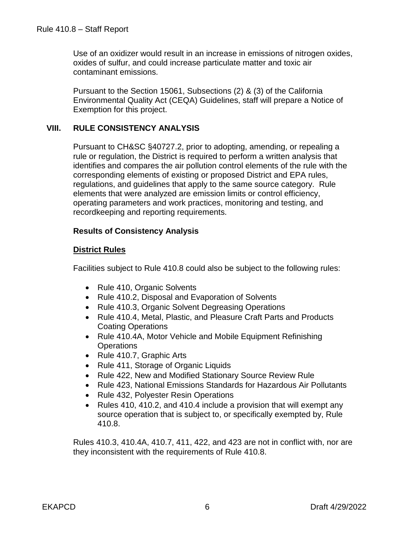Use of an oxidizer would result in an increase in emissions of nitrogen oxides, oxides of sulfur, and could increase particulate matter and toxic air contaminant emissions.

Pursuant to the Section 15061, Subsections (2) & (3) of the California Environmental Quality Act (CEQA) Guidelines, staff will prepare a Notice of Exemption for this project.

#### **VIII. RULE CONSISTENCY ANALYSIS**

Pursuant to CH&SC §40727.2, prior to adopting, amending, or repealing a rule or regulation, the District is required to perform a written analysis that identifies and compares the air pollution control elements of the rule with the corresponding elements of existing or proposed District and EPA rules, regulations, and guidelines that apply to the same source category. Rule elements that were analyzed are emission limits or control efficiency, operating parameters and work practices, monitoring and testing, and recordkeeping and reporting requirements.

#### **Results of Consistency Analysis**

#### **District Rules**

Facilities subject to Rule 410.8 could also be subject to the following rules:

- Rule 410, Organic Solvents
- Rule 410.2, Disposal and Evaporation of Solvents
- Rule 410.3, Organic Solvent Degreasing Operations
- Rule 410.4, Metal, Plastic, and Pleasure Craft Parts and Products Coating Operations
- Rule 410.4A, Motor Vehicle and Mobile Equipment Refinishing **Operations**
- Rule 410.7, Graphic Arts
- Rule 411, Storage of Organic Liquids
- Rule 422, New and Modified Stationary Source Review Rule
- Rule 423, National Emissions Standards for Hazardous Air Pollutants
- Rule 432, Polyester Resin Operations
- Rules 410, 410.2, and 410.4 include a provision that will exempt any source operation that is subject to, or specifically exempted by, Rule 410.8.

Rules 410.3, 410.4A, 410.7, 411, 422, and 423 are not in conflict with, nor are they inconsistent with the requirements of Rule 410.8.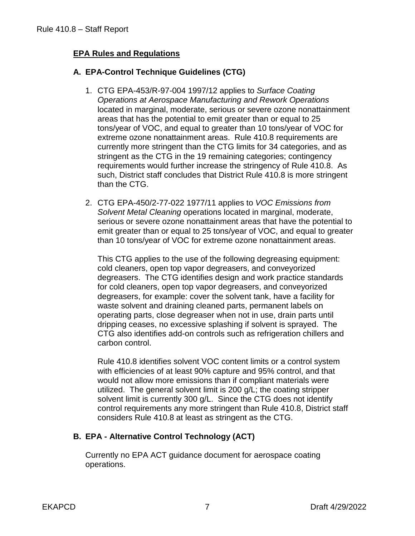#### **EPA Rules and Regulations**

#### **A. EPA-Control Technique Guidelines (CTG)**

- 1. CTG EPA-453/R-97-004 1997/12 applies to *Surface Coating Operations at Aerospace Manufacturing and Rework Operations*  located in marginal, moderate, serious or severe ozone nonattainment areas that has the potential to emit greater than or equal to 25 tons/year of VOC, and equal to greater than 10 tons/year of VOC for extreme ozone nonattainment areas. Rule 410.8 requirements are currently more stringent than the CTG limits for 34 categories, and as stringent as the CTG in the 19 remaining categories; contingency requirements would further increase the stringency of Rule 410.8. As such, District staff concludes that District Rule 410.8 is more stringent than the CTG.
- 2. CTG EPA-450/2-77-022 1977/11 applies to *VOC Emissions from Solvent Metal Cleaning* operations located in marginal, moderate, serious or severe ozone nonattainment areas that have the potential to emit greater than or equal to 25 tons/year of VOC, and equal to greater than 10 tons/year of VOC for extreme ozone nonattainment areas.

This CTG applies to the use of the following degreasing equipment: cold cleaners, open top vapor degreasers, and conveyorized degreasers. The CTG identifies design and work practice standards for cold cleaners, open top vapor degreasers, and conveyorized degreasers, for example: cover the solvent tank, have a facility for waste solvent and draining cleaned parts, permanent labels on operating parts, close degreaser when not in use, drain parts until dripping ceases, no excessive splashing if solvent is sprayed. The CTG also identifies add-on controls such as refrigeration chillers and carbon control.

Rule 410.8 identifies solvent VOC content limits or a control system with efficiencies of at least 90% capture and 95% control, and that would not allow more emissions than if compliant materials were utilized. The general solvent limit is 200 g/L; the coating stripper solvent limit is currently 300 g/L. Since the CTG does not identify control requirements any more stringent than Rule 410.8, District staff considers Rule 410.8 at least as stringent as the CTG.

#### **B. EPA - Alternative Control Technology (ACT)**

Currently no EPA ACT guidance document for aerospace coating operations.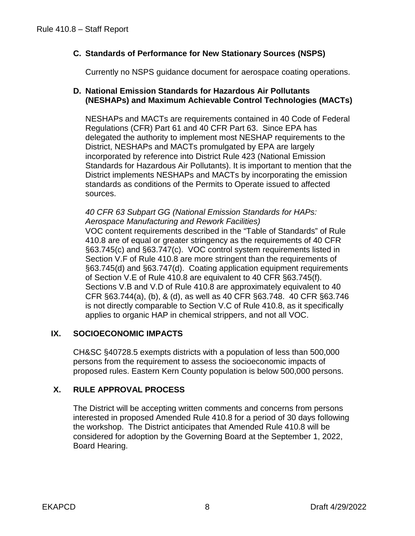#### **C. Standards of Performance for New Stationary Sources (NSPS)**

Currently no NSPS guidance document for aerospace coating operations.

#### **D. National Emission Standards for Hazardous Air Pollutants (NESHAPs) and Maximum Achievable Control Technologies (MACTs)**

NESHAPs and MACTs are requirements contained in 40 Code of Federal Regulations (CFR) Part 61 and 40 CFR Part 63. Since EPA has delegated the authority to implement most NESHAP requirements to the District, NESHAPs and MACTs promulgated by EPA are largely incorporated by reference into District Rule 423 (National Emission Standards for Hazardous Air Pollutants). It is important to mention that the District implements NESHAPs and MACTs by incorporating the emission standards as conditions of the Permits to Operate issued to affected sources.

#### *40 CFR 63 Subpart GG (National Emission Standards for HAPs: Aerospace Manufacturing and Rework Facilities)*

VOC content requirements described in the "Table of Standards" of Rule 410.8 are of equal or greater stringency as the requirements of 40 CFR §63.745(c) and §63.747(c). VOC control system requirements listed in Section V.F of Rule 410.8 are more stringent than the requirements of §63.745(d) and §63.747(d). Coating application equipment requirements of Section V.E of Rule 410.8 are equivalent to 40 CFR §63.745(f). Sections V.B and V.D of Rule 410.8 are approximately equivalent to 40 CFR §63.744(a), (b), & (d), as well as 40 CFR §63.748. 40 CFR §63.746 is not directly comparable to Section V.C of Rule 410.8, as it specifically applies to organic HAP in chemical strippers, and not all VOC.

#### **IX. SOCIOECONOMIC IMPACTS**

CH&SC §40728.5 exempts districts with a population of less than 500,000 persons from the requirement to assess the socioeconomic impacts of proposed rules. Eastern Kern County population is below 500,000 persons.

#### **X. RULE APPROVAL PROCESS**

The District will be accepting written comments and concerns from persons interested in proposed Amended Rule 410.8 for a period of 30 days following the workshop. The District anticipates that Amended Rule 410.8 will be considered for adoption by the Governing Board at the September 1, 2022, Board Hearing.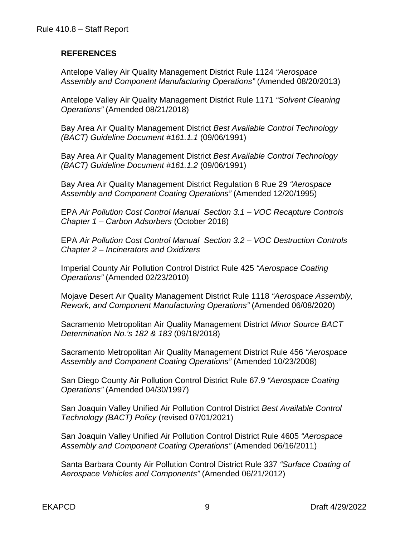#### **REFERENCES**

Antelope Valley Air Quality Management District Rule 1124 *"Aerospace Assembly and Component Manufacturing Operations"* (Amended 08/20/2013)

Antelope Valley Air Quality Management District Rule 1171 *"Solvent Cleaning Operations"* (Amended 08/21/2018)

Bay Area Air Quality Management District *Best Available Control Technology (BACT) Guideline Document #161.1.1* (09/06/1991)

Bay Area Air Quality Management District *Best Available Control Technology (BACT) Guideline Document #161.1.2* (09/06/1991)

Bay Area Air Quality Management District Regulation 8 Rue 29 *"Aerospace Assembly and Component Coating Operations"* (Amended 12/20/1995)

EPA *Air Pollution Cost Control Manual Section 3.1 – VOC Recapture Controls Chapter 1 – Carbon Adsorbers* (October 2018)

EPA *Air Pollution Cost Control Manual Section 3.2 – VOC Destruction Controls Chapter 2 – Incinerators and Oxidizers*

Imperial County Air Pollution Control District Rule 425 *"Aerospace Coating Operations"* (Amended 02/23/2010)

Mojave Desert Air Quality Management District Rule 1118 *"Aerospace Assembly, Rework, and Component Manufacturing Operations"* (Amended 06/08/2020)

Sacramento Metropolitan Air Quality Management District *Minor Source BACT Determination No.'s 182 & 183* (09/18/2018)

Sacramento Metropolitan Air Quality Management District Rule 456 *"Aerospace Assembly and Component Coating Operations"* (Amended 10/23/2008)

San Diego County Air Pollution Control District Rule 67.9 *"Aerospace Coating Operations"* (Amended 04/30/1997)

San Joaquin Valley Unified Air Pollution Control District *Best Available Control Technology (BACT) Policy* (revised 07/01/2021)

San Joaquin Valley Unified Air Pollution Control District Rule 4605 *"Aerospace Assembly and Component Coating Operations"* (Amended 06/16/2011)

Santa Barbara County Air Pollution Control District Rule 337 *"Surface Coating of Aerospace Vehicles and Components"* (Amended 06/21/2012)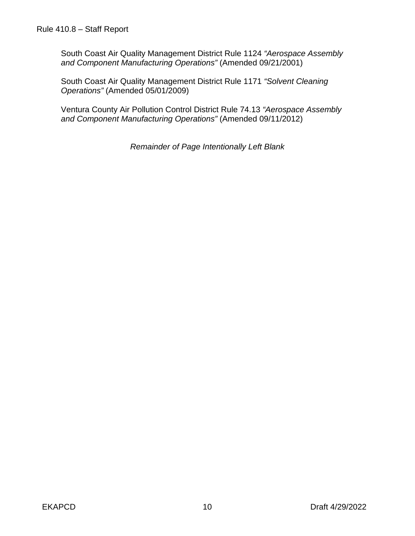South Coast Air Quality Management District Rule 1124 *"Aerospace Assembly and Component Manufacturing Operations"* (Amended 09/21/2001)

South Coast Air Quality Management District Rule 1171 *"Solvent Cleaning Operations"* (Amended 05/01/2009)

Ventura County Air Pollution Control District Rule 74.13 *"Aerospace Assembly and Component Manufacturing Operations"* (Amended 09/11/2012)

*Remainder of Page Intentionally Left Blank*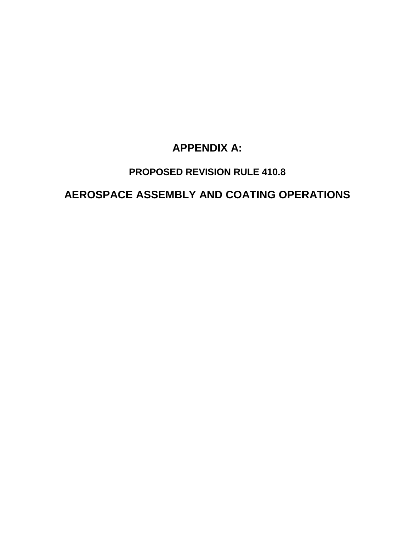# **APPENDIX A:**

### **PROPOSED REVISION RULE 410.8**

# **AEROSPACE ASSEMBLY AND COATING OPERATIONS**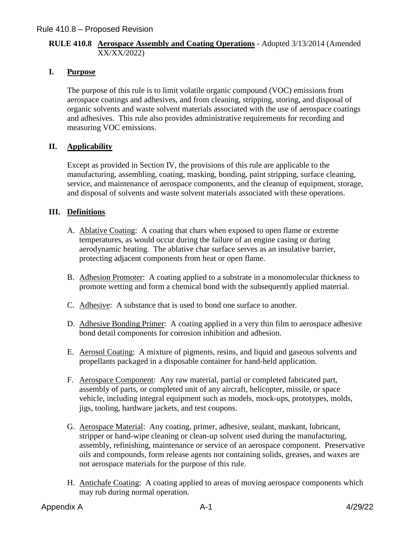#### **RULE 410.8 Aerospace Assembly and Coating Operations** - Adopted 3/13/2014 (Amended XX/XX/2022)

#### **I. Purpose**

The purpose of this rule is to limit volatile organic compound (VOC) emissions from aerospace coatings and adhesives, and from cleaning, stripping, storing, and disposal of organic solvents and waste solvent materials associated with the use of aerospace coatings and adhesives. This rule also provides administrative requirements for recording and measuring VOC emissions.

#### **II. Applicability**

Except as provided in Section IV, the provisions of this rule are applicable to the manufacturing, assembling, coating, masking, bonding, paint stripping, surface cleaning, service, and maintenance of aerospace components, and the cleanup of equipment, storage, and disposal of solvents and waste solvent materials associated with these operations.

#### **III. Definitions**

- A. Ablative Coating: A coating that chars when exposed to open flame or extreme temperatures, as would occur during the failure of an engine casing or during aerodynamic heating. The ablative char surface serves as an insulative barrier, protecting adjacent components from heat or open flame.
- B. Adhesion Promoter: A coating applied to a substrate in a monomolecular thickness to promote wetting and form a chemical bond with the subsequently applied material.
- C. Adhesive: A substance that is used to bond one surface to another.
- D. Adhesive Bonding Primer: A coating applied in a very thin film to aerospace adhesive bond detail components for corrosion inhibition and adhesion.
- E. Aerosol Coating: A mixture of pigments, resins, and liquid and gaseous solvents and propellants packaged in a disposable container for hand-held application.
- F. Aerospace Component: Any raw material, partial or completed fabricated part, assembly of parts, or completed unit of any aircraft, helicopter, missile, or space vehicle, including integral equipment such as models, mock-ups, prototypes, molds, jigs, tooling, hardware jackets, and test coupons.
- G. Aerospace Material: Any coating, primer, adhesive, sealant, maskant, lubricant, stripper or hand-wipe cleaning or clean-up solvent used during the manufacturing, assembly, refinishing, maintenance or service of an aerospace component. Preservative oils and compounds, form release agents not containing solids, greases, and waxes are not aerospace materials for the purpose of this rule.
- H. Antichafe Coating: A coating applied to areas of moving aerospace components which may rub during normal operation.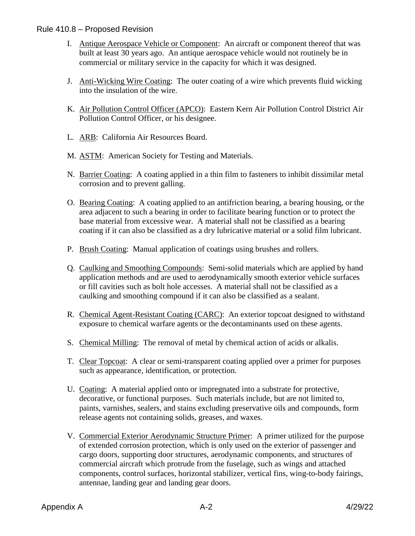- I. Antique Aerospace Vehicle or Component: An aircraft or component thereof that was built at least 30 years ago. An antique aerospace vehicle would not routinely be in commercial or military service in the capacity for which it was designed.
- J. Anti-Wicking Wire Coating: The outer coating of a wire which prevents fluid wicking into the insulation of the wire.
- K. Air Pollution Control Officer (APCO): Eastern Kern Air Pollution Control District Air Pollution Control Officer, or his designee.
- L. ARB: California Air Resources Board.
- M. ASTM: American Society for Testing and Materials.
- N. Barrier Coating: A coating applied in a thin film to fasteners to inhibit dissimilar metal corrosion and to prevent galling.
- O. Bearing Coating: A coating applied to an antifriction bearing, a bearing housing, or the area adjacent to such a bearing in order to facilitate bearing function or to protect the base material from excessive wear. A material shall not be classified as a bearing coating if it can also be classified as a dry lubricative material or a solid film lubricant.
- P. Brush Coating: Manual application of coatings using brushes and rollers.
- Q. Caulking and Smoothing Compounds: Semi-solid materials which are applied by hand application methods and are used to aerodynamically smooth exterior vehicle surfaces or fill cavities such as bolt hole accesses. A material shall not be classified as a caulking and smoothing compound if it can also be classified as a sealant.
- R. Chemical Agent-Resistant Coating (CARC): An exterior topcoat designed to withstand exposure to chemical warfare agents or the decontaminants used on these agents.
- S. Chemical Milling: The removal of metal by chemical action of acids or alkalis.
- T. Clear Topcoat: A clear or semi-transparent coating applied over a primer for purposes such as appearance, identification, or protection.
- U. Coating: A material applied onto or impregnated into a substrate for protective, decorative, or functional purposes. Such materials include, but are not limited to, paints, varnishes, sealers, and stains excluding preservative oils and compounds, form release agents not containing solids, greases, and waxes.
- V. Commercial Exterior Aerodynamic Structure Primer: A primer utilized for the purpose of extended corrosion protection, which is only used on the exterior of passenger and cargo doors, supporting door structures, aerodynamic components, and structures of commercial aircraft which protrude from the fuselage, such as wings and attached components, control surfaces, horizontal stabilizer, vertical fins, wing-to-body fairings, antennae, landing gear and landing gear doors.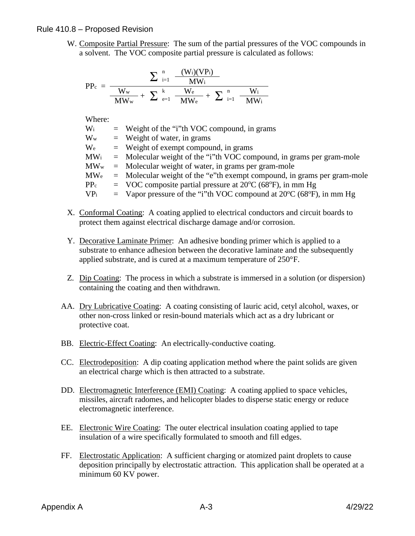W. Composite Partial Pressure: The sum of the partial pressures of the VOC compounds in a solvent. The VOC composite partial pressure is calculated as follows:

$$
PP_c \ = \ \frac{\displaystyle \sum_{i=1}^{n} \ \frac{(W_i)(VP_i)}{MW_i}}{\displaystyle \frac{W_w}{MW_w} + \ \sum_{e=1}^{k} \ \frac{W_e}{MW_e} + \ \sum_{i=1}^{n} \ \frac{W_i}{MW_i}}
$$

| $\rm W_i$                 | $=$ Weight of the "i"th VOC compound, in grams                                            |
|---------------------------|-------------------------------------------------------------------------------------------|
| $\mathrm{W}_{\mathrm{w}}$ | $=$ Weight of water, in grams                                                             |
| $\rm{W}_{\rm{e}}$         | $=$ Weight of exempt compound, in grams                                                   |
| $MW_i$                    | $=$ Molecular weight of the "i"th VOC compound, in grams per gram-mole                    |
| $\text{MW}_{\text{w}}$    | $=$ Molecular weight of water, in grams per gram-mole                                     |
| $\text{MW}_\text{e}$      | $=$ Molecular weight of the "e"th exempt compound, in grams per gram-mole                 |
| PPc                       | $=$ VOC composite partial pressure at 20 $\degree$ C (68 $\degree$ F), in mm Hg           |
| VP <sub>i</sub>           | $=$ Vapor pressure of the "i"th VOC compound at 20 $\degree$ C (68 $\degree$ F), in mm Hg |
|                           |                                                                                           |

- X. Conformal Coating: A coating applied to electrical conductors and circuit boards to protect them against electrical discharge damage and/or corrosion.
- Y. Decorative Laminate Primer: An adhesive bonding primer which is applied to a substrate to enhance adhesion between the decorative laminate and the subsequently applied substrate, and is cured at a maximum temperature of 250°F.
- Z. Dip Coating: The process in which a substrate is immersed in a solution (or dispersion) containing the coating and then withdrawn.
- AA. Dry Lubricative Coating: A coating consisting of lauric acid, cetyl alcohol, waxes, or other non-cross linked or resin-bound materials which act as a dry lubricant or protective coat.
- BB. Electric-Effect Coating: An electrically-conductive coating.
- CC. Electrodeposition: A dip coating application method where the paint solids are given an electrical charge which is then attracted to a substrate.
- DD. Electromagnetic Interference (EMI) Coating: A coating applied to space vehicles, missiles, aircraft radomes, and helicopter blades to disperse static energy or reduce electromagnetic interference.
- EE. Electronic Wire Coating: The outer electrical insulation coating applied to tape insulation of a wire specifically formulated to smooth and fill edges.
- FF. Electrostatic Application: A sufficient charging or atomized paint droplets to cause deposition principally by electrostatic attraction. This application shall be operated at a minimum 60 KV power.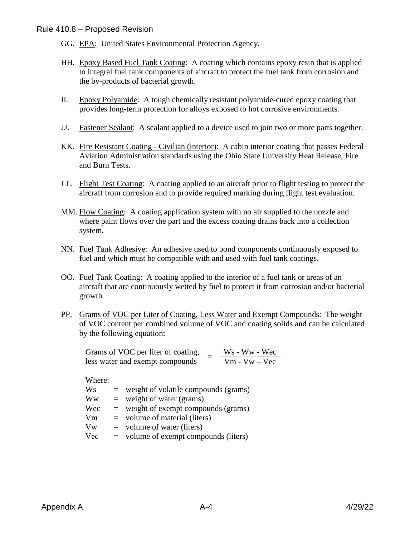- GG. EPA: United States Environmental Protection Agency.
- HH. Epoxy Based Fuel Tank Coating: A coating which contains epoxy resin that is applied to integral fuel tank components of aircraft to protect the fuel tank from corrosion and the by-products of bacterial growth.
- II. Epoxy Polyamide: A tough chemically resistant polyamide-cured epoxy coating that provides long-term protection for alloys exposed to hot corrosive environments.
- JJ. Fastener Sealant: A sealant applied to a device used to join two or more parts together.
- KK. Fire Resistant Coating Civilian (interior): A cabin interior coating that passes Federal Aviation Administration standards using the Ohio State University Heat Release, Fire and Burn Tests.
- LL. Flight Test Coating: A coating applied to an aircraft prior to flight testing to protect the aircraft from corrosion and to provide required marking during flight test evaluation.
- MM. Flow Coating: A coating application system with no air supplied to the nozzle and where paint flows over the part and the excess coating drains back into a collection system.
- NN. Fuel Tank Adhesive: An adhesive used to bond components continuously exposed to fuel and which must be compatible with and used with fuel tank coatings.
- OO. Fuel Tank Coating: A coating applied to the interior of a fuel tank or areas of an aircraft that are continuously wetted by fuel to protect it from corrosion and/or bacterial growth.
- PP. Grams of VOC per Liter of Coating, Less Water and Exempt Compounds: The weight of VOC content per combined volume of VOC and coating solids and can be calculated by the following equation:

| Grams of VOC per liter of coating, | $Ws - Ww - Wec$ |
|------------------------------------|-----------------|
| less water and exempt compounds    | $Vm - Vw - Vec$ |

| Ws  | $=$ weight of volatile compounds (grams) |
|-----|------------------------------------------|
| Ww  | $=$ weight of water (grams)              |
| Wec | $=$ weight of exempt compounds (grams)   |
| Vm  | $=$ volume of material (liters)          |
| Vw  | $=$ volume of water (liters)             |
| Vec | $=$ volume of exempt compounds (liters)  |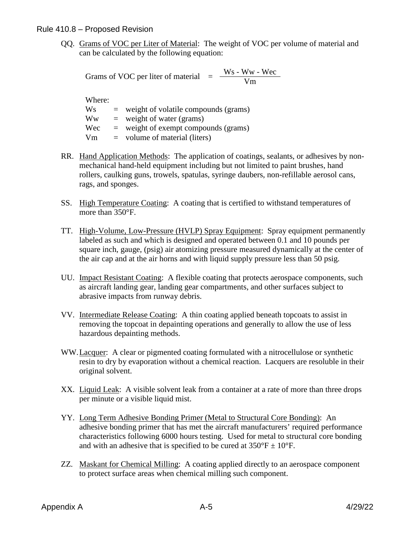QQ. Grams of VOC per Liter of Material: The weight of VOC per volume of material and can be calculated by the following equation:

Grams of VOC per liter of material = 
$$
\frac{Ws - Ww - Wec}{Vm}
$$

| Ws  | $=$ weight of volatile compounds (grams) |
|-----|------------------------------------------|
| Ww  | $=$ weight of water (grams)              |
| Wec | $=$ weight of exempt compounds (grams)   |
| Vm. | $=$ volume of material (liters)          |

- RR. Hand Application Methods: The application of coatings, sealants, or adhesives by nonmechanical hand-held equipment including but not limited to paint brushes, hand rollers, caulking guns, trowels, spatulas, syringe daubers, non-refillable aerosol cans, rags, and sponges.
- SS. High Temperature Coating: A coating that is certified to withstand temperatures of more than 350°F.
- TT. High-Volume, Low-Pressure (HVLP) Spray Equipment: Spray equipment permanently labeled as such and which is designed and operated between 0.1 and 10 pounds per square inch, gauge, (psig) air atomizing pressure measured dynamically at the center of the air cap and at the air horns and with liquid supply pressure less than 50 psig.
- UU. Impact Resistant Coating: A flexible coating that protects aerospace components, such as aircraft landing gear, landing gear compartments, and other surfaces subject to abrasive impacts from runway debris.
- VV. Intermediate Release Coating: A thin coating applied beneath topcoats to assist in removing the topcoat in depainting operations and generally to allow the use of less hazardous depainting methods.
- WW.Lacquer: A clear or pigmented coating formulated with a nitrocellulose or synthetic resin to dry by evaporation without a chemical reaction. Lacquers are resoluble in their original solvent.
- XX. Liquid Leak: A visible solvent leak from a container at a rate of more than three drops per minute or a visible liquid mist.
- YY. Long Term Adhesive Bonding Primer (Metal to Structural Core Bonding): An adhesive bonding primer that has met the aircraft manufacturers' required performance characteristics following 6000 hours testing. Used for metal to structural core bonding and with an adhesive that is specified to be cured at  $350^{\circ}F \pm 10^{\circ}F$ .
- ZZ. Maskant for Chemical Milling: A coating applied directly to an aerospace component to protect surface areas when chemical milling such component.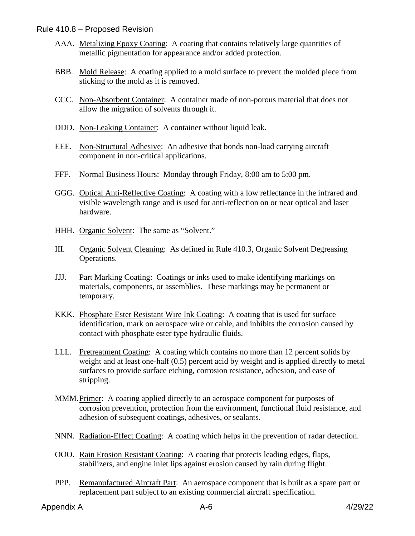- AAA. Metalizing Epoxy Coating: A coating that contains relatively large quantities of metallic pigmentation for appearance and/or added protection.
- BBB. Mold Release: A coating applied to a mold surface to prevent the molded piece from sticking to the mold as it is removed.
- CCC. Non-Absorbent Container: A container made of non-porous material that does not allow the migration of solvents through it.
- DDD. Non-Leaking Container: A container without liquid leak.
- EEE. Non-Structural Adhesive: An adhesive that bonds non-load carrying aircraft component in non-critical applications.
- FFF. Normal Business Hours: Monday through Friday, 8:00 am to 5:00 pm.
- GGG. Optical Anti-Reflective Coating: A coating with a low reflectance in the infrared and visible wavelength range and is used for anti-reflection on or near optical and laser hardware.
- HHH. Organic Solvent: The same as "Solvent."
- III. Organic Solvent Cleaning: As defined in Rule 410.3, Organic Solvent Degreasing Operations.
- JJJ. Part Marking Coating: Coatings or inks used to make identifying markings on materials, components, or assemblies. These markings may be permanent or temporary.
- KKK. Phosphate Ester Resistant Wire Ink Coating: A coating that is used for surface identification, mark on aerospace wire or cable, and inhibits the corrosion caused by contact with phosphate ester type hydraulic fluids.
- LLL. Pretreatment Coating: A coating which contains no more than 12 percent solids by weight and at least one-half (0.5) percent acid by weight and is applied directly to metal surfaces to provide surface etching, corrosion resistance, adhesion, and ease of stripping.
- MMM.Primer: A coating applied directly to an aerospace component for purposes of corrosion prevention, protection from the environment, functional fluid resistance, and adhesion of subsequent coatings, adhesives, or sealants.
- NNN. Radiation-Effect Coating: A coating which helps in the prevention of radar detection.
- OOO. Rain Erosion Resistant Coating: A coating that protects leading edges, flaps, stabilizers, and engine inlet lips against erosion caused by rain during flight.
- PPP. Remanufactured Aircraft Part: An aerospace component that is built as a spare part or replacement part subject to an existing commercial aircraft specification.

Appendix A A-6 4/29/22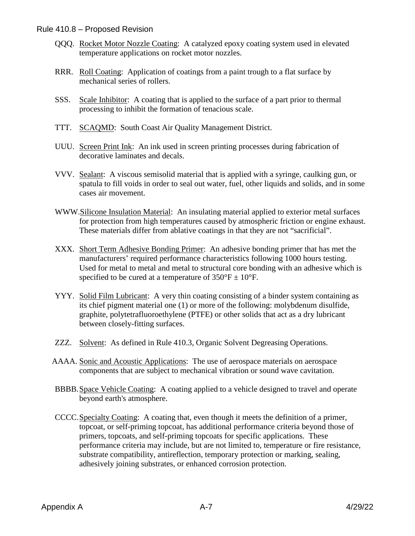- Rule 410.8 Proposed Revision
	- QQQ. Rocket Motor Nozzle Coating: A catalyzed epoxy coating system used in elevated temperature applications on rocket motor nozzles.
	- RRR. Roll Coating: Application of coatings from a paint trough to a flat surface by mechanical series of rollers.
	- SSS. Scale Inhibitor: A coating that is applied to the surface of a part prior to thermal processing to inhibit the formation of tenacious scale.
	- TTT. SCAQMD: South Coast Air Quality Management District.
	- UUU. Screen Print Ink: An ink used in screen printing processes during fabrication of decorative laminates and decals.
	- VVV. Sealant: A viscous semisolid material that is applied with a syringe, caulking gun, or spatula to fill voids in order to seal out water, fuel, other liquids and solids, and in some cases air movement.
	- WWW.Silicone Insulation Material: An insulating material applied to exterior metal surfaces for protection from high temperatures caused by atmospheric friction or engine exhaust. These materials differ from ablative coatings in that they are not "sacrificial".
	- XXX. Short Term Adhesive Bonding Primer: An adhesive bonding primer that has met the manufacturers' required performance characteristics following 1000 hours testing. Used for metal to metal and metal to structural core bonding with an adhesive which is specified to be cured at a temperature of  $350^{\circ}$ F  $\pm$  10<sup>o</sup>F.
	- YYY. Solid Film Lubricant: A very thin coating consisting of a binder system containing as its chief pigment material one (1) or more of the following: molybdenum disulfide, graphite, polytetrafluoroethylene (PTFE) or other solids that act as a dry lubricant between closely-fitting surfaces.
	- ZZZ. Solvent: As defined in Rule 410.3, Organic Solvent Degreasing Operations.
	- AAAA. Sonic and Acoustic Applications: The use of aerospace materials on aerospace components that are subject to mechanical vibration or sound wave cavitation.
	- BBBB.Space Vehicle Coating: A coating applied to a vehicle designed to travel and operate beyond earth's atmosphere.
	- CCCC.Specialty Coating: A coating that, even though it meets the definition of a primer, topcoat, or self-priming topcoat, has additional performance criteria beyond those of primers, topcoats, and self-priming topcoats for specific applications. These performance criteria may include, but are not limited to, temperature or fire resistance, substrate compatibility, antireflection, temporary protection or marking, sealing, adhesively joining substrates, or enhanced corrosion protection.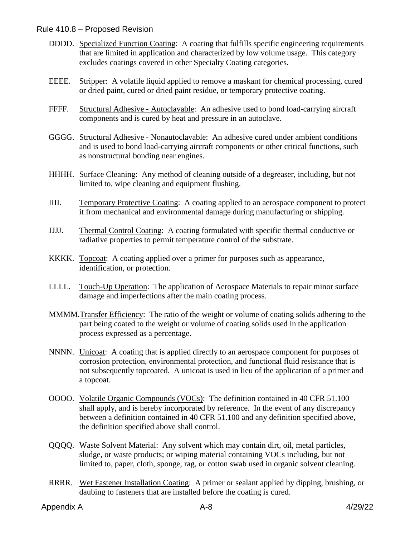- DDDD. Specialized Function Coating: A coating that fulfills specific engineering requirements that are limited in application and characterized by low volume usage. This category excludes coatings covered in other Specialty Coating categories.
- EEEE. Stripper: A volatile liquid applied to remove a maskant for chemical processing, cured or dried paint, cured or dried paint residue, or temporary protective coating.
- FFFF. Structural Adhesive Autoclavable: An adhesive used to bond load-carrying aircraft components and is cured by heat and pressure in an autoclave.
- GGGG. Structural Adhesive Nonautoclavable: An adhesive cured under ambient conditions and is used to bond load-carrying aircraft components or other critical functions, such as nonstructural bonding near engines.
- HHHH. Surface Cleaning: Any method of cleaning outside of a degreaser, including, but not limited to, wipe cleaning and equipment flushing.
- IIII. Temporary Protective Coating: A coating applied to an aerospace component to protect it from mechanical and environmental damage during manufacturing or shipping.
- JJJJ. Thermal Control Coating: A coating formulated with specific thermal conductive or radiative properties to permit temperature control of the substrate.
- KKKK. Topcoat: A coating applied over a primer for purposes such as appearance, identification, or protection.
- LLLL. Touch-Up Operation: The application of Aerospace Materials to repair minor surface damage and imperfections after the main coating process.
- MMMM.Transfer Efficiency: The ratio of the weight or volume of coating solids adhering to the part being coated to the weight or volume of coating solids used in the application process expressed as a percentage.
- NNNN. Unicoat: A coating that is applied directly to an aerospace component for purposes of corrosion protection, environmental protection, and functional fluid resistance that is not subsequently topcoated. A unicoat is used in lieu of the application of a primer and a topcoat.
- OOOO. Volatile Organic Compounds (VOCs): The definition contained in 40 CFR 51.100 shall apply, and is hereby incorporated by reference. In the event of any discrepancy between a definition contained in 40 CFR 51.100 and any definition specified above, the definition specified above shall control.
- QQQQ. Waste Solvent Material: Any solvent which may contain dirt, oil, metal particles, sludge, or waste products; or wiping material containing VOCs including, but not limited to, paper, cloth, sponge, rag, or cotton swab used in organic solvent cleaning.
- RRRR. Wet Fastener Installation Coating: A primer or sealant applied by dipping, brushing, or daubing to fasteners that are installed before the coating is cured.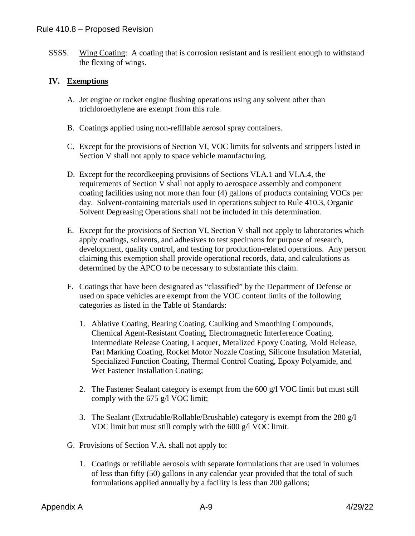SSSS. Wing Coating: A coating that is corrosion resistant and is resilient enough to withstand the flexing of wings.

#### **IV. Exemptions**

- A. Jet engine or rocket engine flushing operations using any solvent other than trichloroethylene are exempt from this rule.
- B. Coatings applied using non-refillable aerosol spray containers.
- C. Except for the provisions of Section VI, VOC limits for solvents and strippers listed in Section V shall not apply to space vehicle manufacturing.
- D. Except for the recordkeeping provisions of Sections VI.A.1 and VI.A.4, the requirements of Section V shall not apply to aerospace assembly and component coating facilities using not more than four (4) gallons of products containing VOCs per day. Solvent-containing materials used in operations subject to Rule 410.3, Organic Solvent Degreasing Operations shall not be included in this determination.
- E. Except for the provisions of Section VI, Section V shall not apply to laboratories which apply coatings, solvents, and adhesives to test specimens for purpose of research, development, quality control, and testing for production-related operations. Any person claiming this exemption shall provide operational records, data, and calculations as determined by the APCO to be necessary to substantiate this claim.
- F. Coatings that have been designated as "classified" by the Department of Defense or used on space vehicles are exempt from the VOC content limits of the following categories as listed in the Table of Standards:
	- 1. Ablative Coating, Bearing Coating, Caulking and Smoothing Compounds, Chemical Agent-Resistant Coating, Electromagnetic Interference Coating, Intermediate Release Coating, Lacquer, Metalized Epoxy Coating, Mold Release, Part Marking Coating, Rocket Motor Nozzle Coating, Silicone Insulation Material, Specialized Function Coating, Thermal Control Coating, Epoxy Polyamide, and Wet Fastener Installation Coating;
	- 2. The Fastener Sealant category is exempt from the 600 g/l VOC limit but must still comply with the 675 g/l VOC limit;
	- 3. The Sealant (Extrudable/Rollable/Brushable) category is exempt from the 280 g/l VOC limit but must still comply with the 600 g/l VOC limit.
- G. Provisions of Section V.A. shall not apply to:
	- 1. Coatings or refillable aerosols with separate formulations that are used in volumes of less than fifty (50) gallons in any calendar year provided that the total of such formulations applied annually by a facility is less than 200 gallons;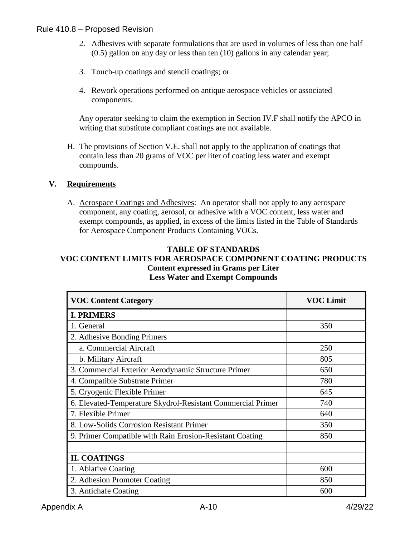- 2. Adhesives with separate formulations that are used in volumes of less than one half (0.5) gallon on any day or less than ten (10) gallons in any calendar year;
- 3. Touch-up coatings and stencil coatings; or
- 4. Rework operations performed on antique aerospace vehicles or associated components.

Any operator seeking to claim the exemption in Section IV.F shall notify the APCO in writing that substitute compliant coatings are not available.

H. The provisions of Section V.E. shall not apply to the application of coatings that contain less than 20 grams of VOC per liter of coating less water and exempt compounds.

#### **V. Requirements**

A. Aerospace Coatings and Adhesives: An operator shall not apply to any aerospace component, any coating, aerosol, or adhesive with a VOC content, less water and exempt compounds, as applied, in excess of the limits listed in the Table of Standards for Aerospace Component Products Containing VOCs.

#### **TABLE OF STANDARDS**

#### **VOC CONTENT LIMITS FOR AEROSPACE COMPONENT COATING PRODUCTS Content expressed in Grams per Liter Less Water and Exempt Compounds**

| <b>VOC Content Category</b>                                 | <b>VOC Limit</b> |
|-------------------------------------------------------------|------------------|
| <b>I. PRIMERS</b>                                           |                  |
| 1. General                                                  | 350              |
| 2. Adhesive Bonding Primers                                 |                  |
| a. Commercial Aircraft                                      | 250              |
| b. Military Aircraft                                        | 805              |
| 3. Commercial Exterior Aerodynamic Structure Primer         | 650              |
| 4. Compatible Substrate Primer                              | 780              |
| 5. Cryogenic Flexible Primer                                | 645              |
| 6. Elevated-Temperature Skydrol-Resistant Commercial Primer | 740              |
| 7. Flexible Primer                                          | 640              |
| 8. Low-Solids Corrosion Resistant Primer                    | 350              |
| 9. Primer Compatible with Rain Erosion-Resistant Coating    | 850              |
|                                                             |                  |
| <b>II. COATINGS</b>                                         |                  |
| 1. Ablative Coating                                         | 600              |
| 2. Adhesion Promoter Coating                                | 850              |
| 3. Antichafe Coating                                        | 600              |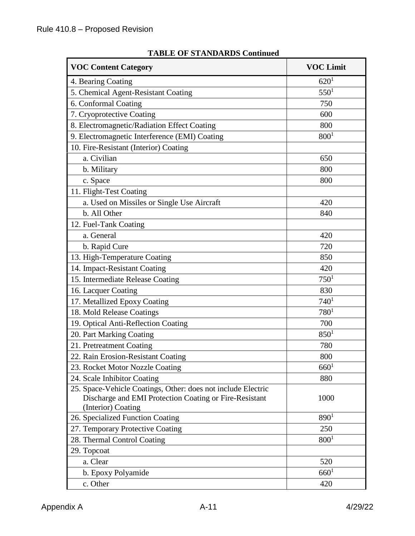| <b>VOC Content Category</b>                                  | <b>VOC Limit</b> |
|--------------------------------------------------------------|------------------|
| 4. Bearing Coating                                           | $620^{1}$        |
| 5. Chemical Agent-Resistant Coating                          | $550^{1}$        |
| 6. Conformal Coating                                         | 750              |
| 7. Cryoprotective Coating                                    | 600              |
| 8. Electromagnetic/Radiation Effect Coating                  | 800              |
| 9. Electromagnetic Interference (EMI) Coating                | 800 <sup>1</sup> |
| 10. Fire-Resistant (Interior) Coating                        |                  |
| a. Civilian                                                  | 650              |
| b. Military                                                  | 800              |
| c. Space                                                     | 800              |
| 11. Flight-Test Coating                                      |                  |
| a. Used on Missiles or Single Use Aircraft                   | 420              |
| b. All Other                                                 | 840              |
| 12. Fuel-Tank Coating                                        |                  |
| a. General                                                   | 420              |
| b. Rapid Cure                                                | 720              |
| 13. High-Temperature Coating                                 | 850              |
| 14. Impact-Resistant Coating                                 | 420              |
| 15. Intermediate Release Coating                             | $750^1$          |
| 16. Lacquer Coating                                          | 830              |
| 17. Metallized Epoxy Coating                                 | 740 <sup>1</sup> |
| 18. Mold Release Coatings                                    | $780^{1}$        |
| 19. Optical Anti-Reflection Coating                          | 700              |
| 20. Part Marking Coating                                     | 850 <sup>1</sup> |
| 21. Pretreatment Coating                                     | 780              |
| 22. Rain Erosion-Resistant Coating                           | 800              |
| 23. Rocket Motor Nozzle Coating                              | 660 <sup>1</sup> |
| 24. Scale Inhibitor Coating                                  | 880              |
| 25. Space-Vehicle Coatings, Other: does not include Electric |                  |
| Discharge and EMI Protection Coating or Fire-Resistant       | 1000             |
| (Interior) Coating                                           |                  |
| 26. Specialized Function Coating                             | 890 <sup>1</sup> |
| 27. Temporary Protective Coating                             | 250              |
| 28. Thermal Control Coating                                  | $800^{1}$        |
| 29. Topcoat                                                  |                  |
| a. Clear                                                     | 520              |
| b. Epoxy Polyamide                                           | $660^1$          |
| c. Other                                                     | 420              |

#### **TABLE OF STANDARDS Continued**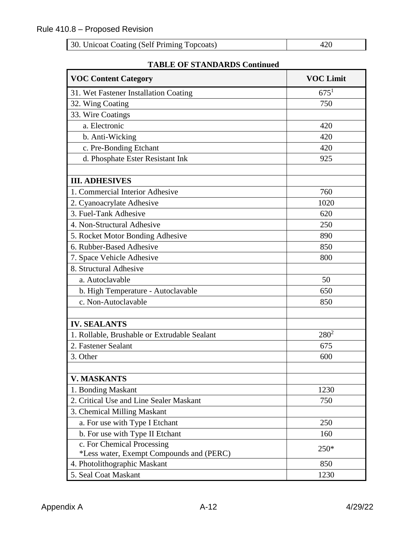30. Unicoat Coating (Self Priming Topcoats) 420

| <b>VOC Content Category</b>                  | <b>VOC Limit</b> |  |  |
|----------------------------------------------|------------------|--|--|
| 31. Wet Fastener Installation Coating        | $675^1$          |  |  |
| 32. Wing Coating                             | 750              |  |  |
| 33. Wire Coatings                            |                  |  |  |
| a. Electronic                                | 420              |  |  |
| b. Anti-Wicking                              | 420              |  |  |
| c. Pre-Bonding Etchant                       | 420              |  |  |
| d. Phosphate Ester Resistant Ink             | 925              |  |  |
|                                              |                  |  |  |
| <b>III. ADHESIVES</b>                        |                  |  |  |
| 1. Commercial Interior Adhesive              | 760              |  |  |
| 2. Cyanoacrylate Adhesive                    | 1020             |  |  |
| 3. Fuel-Tank Adhesive                        | 620              |  |  |
| 4. Non-Structural Adhesive                   | 250              |  |  |
| 5. Rocket Motor Bonding Adhesive             | 890              |  |  |
| 6. Rubber-Based Adhesive                     | 850              |  |  |
| 7. Space Vehicle Adhesive                    | 800              |  |  |
| 8. Structural Adhesive                       |                  |  |  |
| a. Autoclavable                              | 50               |  |  |
| b. High Temperature - Autoclavable           | 650              |  |  |
| c. Non-Autoclavable                          | 850              |  |  |
| <b>IV. SEALANTS</b>                          |                  |  |  |
| 1. Rollable, Brushable or Extrudable Sealant | $280^2$          |  |  |
| 2. Fastener Sealant                          | 675              |  |  |
| 3. Other                                     | 600              |  |  |
|                                              |                  |  |  |
| <b>V. MASKANTS</b>                           |                  |  |  |
| 1. Bonding Maskant                           | 1230             |  |  |
| 2. Critical Use and Line Sealer Maskant      | 750              |  |  |
| 3. Chemical Milling Maskant                  |                  |  |  |
| a. For use with Type I Etchant               | 250              |  |  |
| b. For use with Type II Etchant              | 160              |  |  |
| c. For Chemical Processing                   | $250*$           |  |  |
| *Less water, Exempt Compounds and (PERC)     |                  |  |  |
| 4. Photolithographic Maskant                 | 850              |  |  |
| 5. Seal Coat Maskant                         | 1230             |  |  |

#### **TABLE OF STANDARDS Continued**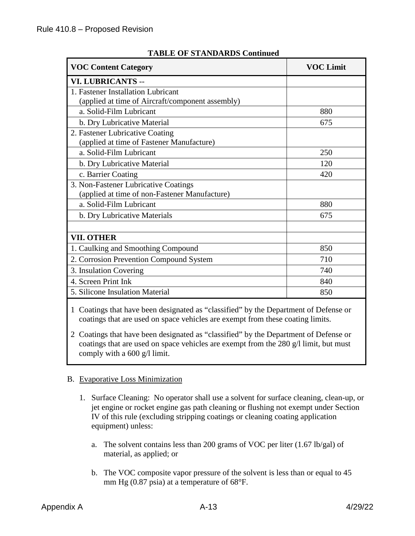| <b>VOC Content Category</b>                                                  | <b>VOC Limit</b> |
|------------------------------------------------------------------------------|------------------|
| <b>VI. LUBRICANTS --</b>                                                     |                  |
| 1. Fastener Installation Lubricant                                           |                  |
| (applied at time of Aircraft/component assembly)                             |                  |
| a. Solid-Film Lubricant                                                      | 880              |
| b. Dry Lubricative Material                                                  | 675              |
| 2. Fastener Lubricative Coating<br>(applied at time of Fastener Manufacture) |                  |
| a. Solid-Film Lubricant                                                      | 250              |
| b. Dry Lubricative Material                                                  | 120              |
| c. Barrier Coating                                                           | 420              |
| 3. Non-Fastener Lubricative Coatings                                         |                  |
| (applied at time of non-Fastener Manufacture)                                |                  |
| a. Solid-Film Lubricant                                                      | 880              |
| b. Dry Lubricative Materials                                                 | 675              |
| <b>VII. OTHER</b>                                                            |                  |
| 1. Caulking and Smoothing Compound                                           | 850              |
| 2. Corrosion Prevention Compound System                                      | 710              |
| 3. Insulation Covering                                                       | 740              |
| 4. Screen Print Ink                                                          | 840              |
| 5. Silicone Insulation Material                                              | 850              |

#### **TABLE OF STANDARDS Continued**

1 Coatings that have been designated as "classified" by the Department of Defense or coatings that are used on space vehicles are exempt from these coating limits.

2 Coatings that have been designated as "classified" by the Department of Defense or coatings that are used on space vehicles are exempt from the 280 g/l limit, but must comply with a 600 g/l limit.

#### B. Evaporative Loss Minimization

- 1. Surface Cleaning: No operator shall use a solvent for surface cleaning, clean-up, or jet engine or rocket engine gas path cleaning or flushing not exempt under Section IV of this rule (excluding stripping coatings or cleaning coating application equipment) unless:
	- a. The solvent contains less than 200 grams of VOC per liter (1.67 lb/gal) of material, as applied; or
	- b. The VOC composite vapor pressure of the solvent is less than or equal to 45 mm Hg (0.87 psia) at a temperature of 68°F.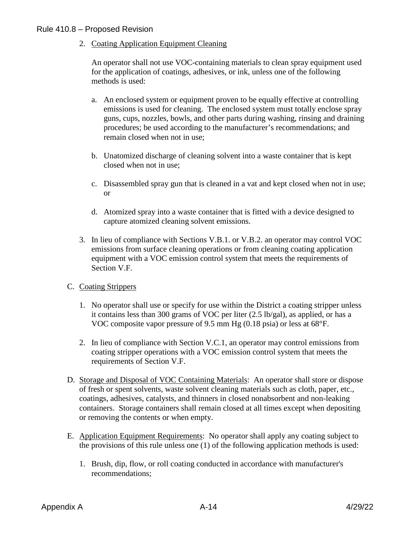2. Coating Application Equipment Cleaning

An operator shall not use VOC-containing materials to clean spray equipment used for the application of coatings, adhesives, or ink, unless one of the following methods is used:

- a. An enclosed system or equipment proven to be equally effective at controlling emissions is used for cleaning. The enclosed system must totally enclose spray guns, cups, nozzles, bowls, and other parts during washing, rinsing and draining procedures; be used according to the manufacturer's recommendations; and remain closed when not in use;
- b. Unatomized discharge of cleaning solvent into a waste container that is kept closed when not in use;
- c. Disassembled spray gun that is cleaned in a vat and kept closed when not in use; or
- d. Atomized spray into a waste container that is fitted with a device designed to capture atomized cleaning solvent emissions.
- 3. In lieu of compliance with Sections V.B.1. or V.B.2. an operator may control VOC emissions from surface cleaning operations or from cleaning coating application equipment with a VOC emission control system that meets the requirements of Section V.F.
- C. Coating Strippers
	- 1. No operator shall use or specify for use within the District a coating stripper unless it contains less than 300 grams of VOC per liter (2.5 lb/gal), as applied, or has a VOC composite vapor pressure of 9.5 mm Hg (0.18 psia) or less at 68°F.
	- 2. In lieu of compliance with Section V.C.1, an operator may control emissions from coating stripper operations with a VOC emission control system that meets the requirements of Section V.F.
- D. Storage and Disposal of VOC Containing Materials: An operator shall store or dispose of fresh or spent solvents, waste solvent cleaning materials such as cloth, paper, etc., coatings, adhesives, catalysts, and thinners in closed nonabsorbent and non-leaking containers. Storage containers shall remain closed at all times except when depositing or removing the contents or when empty.
- E. Application Equipment Requirements: No operator shall apply any coating subject to the provisions of this rule unless one (1) of the following application methods is used:
	- 1. Brush, dip, flow, or roll coating conducted in accordance with manufacturer's recommendations;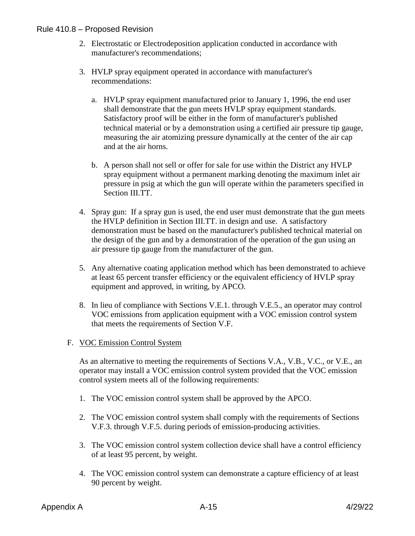- 2. Electrostatic or Electrodeposition application conducted in accordance with manufacturer's recommendations;
- 3. HVLP spray equipment operated in accordance with manufacturer's recommendations:
	- a. HVLP spray equipment manufactured prior to January 1, 1996, the end user shall demonstrate that the gun meets HVLP spray equipment standards. Satisfactory proof will be either in the form of manufacturer's published technical material or by a demonstration using a certified air pressure tip gauge, measuring the air atomizing pressure dynamically at the center of the air cap and at the air horns.
	- b. A person shall not sell or offer for sale for use within the District any HVLP spray equipment without a permanent marking denoting the maximum inlet air pressure in psig at which the gun will operate within the parameters specified in Section III.TT.
- 4. Spray gun: If a spray gun is used, the end user must demonstrate that the gun meets the HVLP definition in Section III.TT. in design and use. A satisfactory demonstration must be based on the manufacturer's published technical material on the design of the gun and by a demonstration of the operation of the gun using an air pressure tip gauge from the manufacturer of the gun.
- 5. Any alternative coating application method which has been demonstrated to achieve at least 65 percent transfer efficiency or the equivalent efficiency of HVLP spray equipment and approved, in writing, by APCO.
- 8. In lieu of compliance with Sections V.E.1. through V.E.5., an operator may control VOC emissions from application equipment with a VOC emission control system that meets the requirements of Section V.F.

#### F. VOC Emission Control System

As an alternative to meeting the requirements of Sections V.A., V.B., V.C., or V.E., an operator may install a VOC emission control system provided that the VOC emission control system meets all of the following requirements:

- 1. The VOC emission control system shall be approved by the APCO.
- 2. The VOC emission control system shall comply with the requirements of Sections V.F.3. through V.F.5. during periods of emission-producing activities.
- 3. The VOC emission control system collection device shall have a control efficiency of at least 95 percent, by weight.
- 4. The VOC emission control system can demonstrate a capture efficiency of at least 90 percent by weight.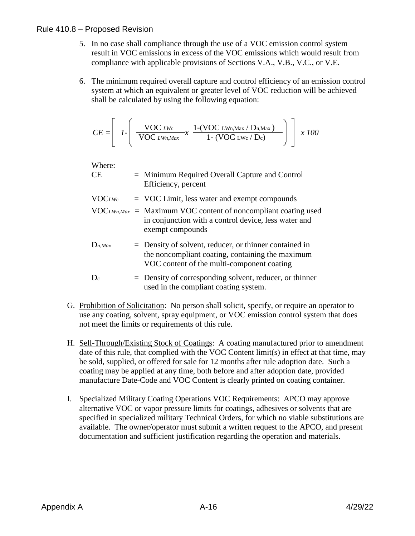- 5. In no case shall compliance through the use of a VOC emission control system result in VOC emissions in excess of the VOC emissions which would result from compliance with applicable provisions of Sections V.A., V.B., V.C., or V.E.
- 6. The minimum required overall capture and control efficiency of an emission control system at which an equivalent or greater level of VOC reduction will be achieved shall be calculated by using the following equation:

$$
CE = \left[ \left. I \left\{ \begin{array}{c} \sqrt{VOC_{LWc}} & \frac{1-(\text{VOC}_{LWn, \text{Max}} / D_{n, \text{Max}})}{1 - (\text{VOC}_{LWc} / D_c)} \end{array} \right\} \right] \left. x \, 100 \right.
$$

- CE = Minimum Required Overall Capture and Control Efficiency, percent
- VOC*LWc* = VOC Limit, less water and exempt compounds
- VOC*LWn,Max* = Maximum VOC content of noncompliant coating used in conjunction with a control device, less water and exempt compounds
- D<sub>n,Max</sub> = Density of solvent, reducer, or thinner contained in the noncompliant coating, containing the maximum VOC content of the multi-component coating
- $D_c$  = Density of corresponding solvent, reducer, or thinner used in the compliant coating system.
- G. Prohibition of Solicitation: No person shall solicit, specify, or require an operator to use any coating, solvent, spray equipment, or VOC emission control system that does not meet the limits or requirements of this rule.
- H. Sell-Through/Existing Stock of Coatings: A coating manufactured prior to amendment date of this rule, that complied with the VOC Content limit(s) in effect at that time, may be sold, supplied, or offered for sale for 12 months after rule adoption date. Such a coating may be applied at any time, both before and after adoption date, provided manufacture Date-Code and VOC Content is clearly printed on coating container.
- I. Specialized Military Coating Operations VOC Requirements: APCO may approve alternative VOC or vapor pressure limits for coatings, adhesives or solvents that are specified in specialized military Technical Orders, for which no viable substitutions are available. The owner/operator must submit a written request to the APCO, and present documentation and sufficient justification regarding the operation and materials.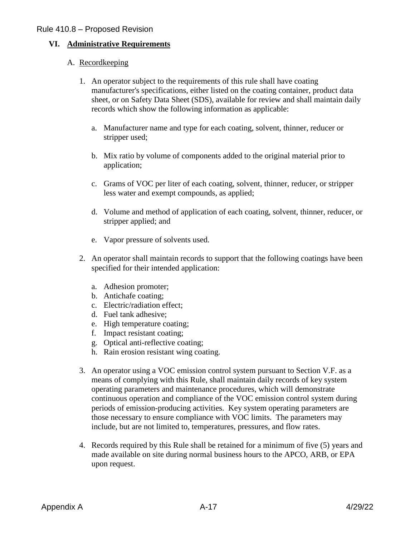#### **VI. Administrative Requirements**

#### A. Recordkeeping

- 1. An operator subject to the requirements of this rule shall have coating manufacturer's specifications, either listed on the coating container, product data sheet, or on Safety Data Sheet (SDS), available for review and shall maintain daily records which show the following information as applicable:
	- a. Manufacturer name and type for each coating, solvent, thinner, reducer or stripper used;
	- b. Mix ratio by volume of components added to the original material prior to application;
	- c. Grams of VOC per liter of each coating, solvent, thinner, reducer, or stripper less water and exempt compounds, as applied;
	- d. Volume and method of application of each coating, solvent, thinner, reducer, or stripper applied; and
	- e. Vapor pressure of solvents used.
- 2. An operator shall maintain records to support that the following coatings have been specified for their intended application:
	- a. Adhesion promoter;
	- b. Antichafe coating;
	- c. Electric/radiation effect;
	- d. Fuel tank adhesive;
	- e. High temperature coating;
	- f. Impact resistant coating;
	- g. Optical anti-reflective coating;
	- h. Rain erosion resistant wing coating.
- 3. An operator using a VOC emission control system pursuant to Section V.F. as a means of complying with this Rule, shall maintain daily records of key system operating parameters and maintenance procedures, which will demonstrate continuous operation and compliance of the VOC emission control system during periods of emission-producing activities. Key system operating parameters are those necessary to ensure compliance with VOC limits. The parameters may include, but are not limited to, temperatures, pressures, and flow rates.
- 4. Records required by this Rule shall be retained for a minimum of five (5) years and made available on site during normal business hours to the APCO, ARB, or EPA upon request.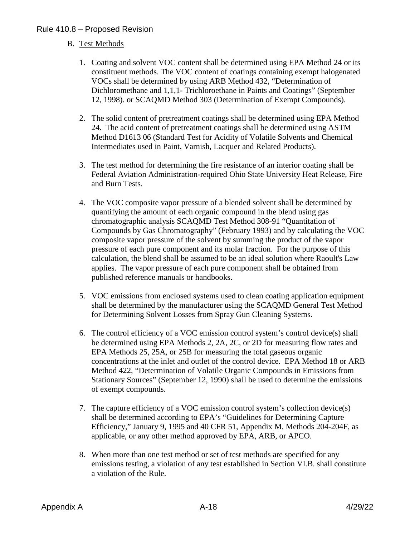#### B. Test Methods

- 1. Coating and solvent VOC content shall be determined using EPA Method 24 or its constituent methods. The VOC content of coatings containing exempt halogenated VOCs shall be determined by using ARB Method 432, "Determination of Dichloromethane and 1,1,1- Trichloroethane in Paints and Coatings" (September 12, 1998). or SCAQMD Method 303 (Determination of Exempt Compounds).
- 2. The solid content of pretreatment coatings shall be determined using EPA Method 24. The acid content of pretreatment coatings shall be determined using ASTM Method D1613 06 (Standard Test for Acidity of Volatile Solvents and Chemical Intermediates used in Paint, Varnish, Lacquer and Related Products).
- 3. The test method for determining the fire resistance of an interior coating shall be Federal Aviation Administration-required Ohio State University Heat Release, Fire and Burn Tests.
- 4. The VOC composite vapor pressure of a blended solvent shall be determined by quantifying the amount of each organic compound in the blend using gas chromatographic analysis SCAQMD Test Method 308-91 "Quantitation of Compounds by Gas Chromatography" (February 1993) and by calculating the VOC composite vapor pressure of the solvent by summing the product of the vapor pressure of each pure component and its molar fraction. For the purpose of this calculation, the blend shall be assumed to be an ideal solution where Raoult's Law applies. The vapor pressure of each pure component shall be obtained from published reference manuals or handbooks.
- 5. VOC emissions from enclosed systems used to clean coating application equipment shall be determined by the manufacturer using the SCAQMD General Test Method for Determining Solvent Losses from Spray Gun Cleaning Systems.
- 6. The control efficiency of a VOC emission control system's control device(s) shall be determined using EPA Methods 2, 2A, 2C, or 2D for measuring flow rates and EPA Methods 25, 25A, or 25B for measuring the total gaseous organic concentrations at the inlet and outlet of the control device. EPA Method 18 or ARB Method 422, "Determination of Volatile Organic Compounds in Emissions from Stationary Sources" (September 12, 1990) shall be used to determine the emissions of exempt compounds.
- 7. The capture efficiency of a VOC emission control system's collection device(s) shall be determined according to EPA's "Guidelines for Determining Capture Efficiency," January 9, 1995 and 40 CFR 51, Appendix M, Methods 204-204F, as applicable, or any other method approved by EPA, ARB, or APCO.
- 8. When more than one test method or set of test methods are specified for any emissions testing, a violation of any test established in Section VI.B. shall constitute a violation of the Rule.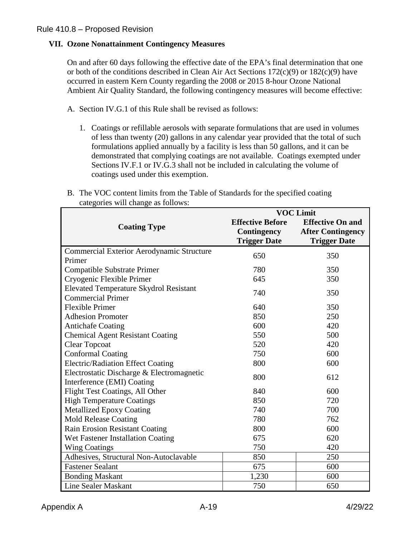#### **VII. Ozone Nonattainment Contingency Measures**

On and after 60 days following the effective date of the EPA's final determination that one or both of the conditions described in Clean Air Act Sections 172(c)(9) or 182(c)(9) have occurred in eastern Kern County regarding the 2008 or 2015 8-hour Ozone National Ambient Air Quality Standard, the following contingency measures will become effective:

- A. Section IV.G.1 of this Rule shall be revised as follows:
	- 1. Coatings or refillable aerosols with separate formulations that are used in volumes of less than twenty (20) gallons in any calendar year provided that the total of such formulations applied annually by a facility is less than 50 gallons, and it can be demonstrated that complying coatings are not available. Coatings exempted under Sections IV.F.1 or IV.G.3 shall not be included in calculating the volume of coatings used under this exemption.

|                                               | <b>VOC Limit</b>        |                          |  |
|-----------------------------------------------|-------------------------|--------------------------|--|
| <b>Coating Type</b>                           | <b>Effective Before</b> | <b>Effective On and</b>  |  |
|                                               | Contingency             | <b>After Contingency</b> |  |
|                                               | <b>Trigger Date</b>     | <b>Trigger Date</b>      |  |
| Commercial Exterior Aerodynamic Structure     | 650                     | 350                      |  |
| Primer                                        |                         |                          |  |
| <b>Compatible Substrate Primer</b>            | 780                     | 350                      |  |
| Cryogenic Flexible Primer                     | 645                     | 350                      |  |
| <b>Elevated Temperature Skydrol Resistant</b> | 740                     | 350                      |  |
| <b>Commercial Primer</b>                      |                         |                          |  |
| <b>Flexible Primer</b>                        | 640                     | 350                      |  |
| <b>Adhesion Promoter</b>                      | 850                     | 250                      |  |
| <b>Antichafe Coating</b>                      | 600                     | 420                      |  |
| <b>Chemical Agent Resistant Coating</b>       | 550                     | 500                      |  |
| <b>Clear Topcoat</b>                          | 520                     | 420                      |  |
| <b>Conformal Coating</b>                      | 750                     | 600                      |  |
| <b>Electric/Radiation Effect Coating</b>      | 800                     | 600                      |  |
| Electrostatic Discharge & Electromagnetic     | 800                     | 612                      |  |
| Interference (EMI) Coating                    |                         |                          |  |
| Flight Test Coatings, All Other               | 840                     | 600                      |  |
| <b>High Temperature Coatings</b>              | 850                     | 720                      |  |
| <b>Metallized Epoxy Coating</b>               | 740                     | 700                      |  |
| <b>Mold Release Coating</b>                   | 780                     | 762                      |  |
| Rain Erosion Resistant Coating                | 800                     | 600                      |  |
| Wet Fastener Installation Coating             | 675                     | 620                      |  |
| <b>Wing Coatings</b>                          | 750                     | 420                      |  |
| Adhesives, Structural Non-Autoclavable        | 850                     | 250                      |  |
| <b>Fastener Sealant</b>                       | 675                     | 600                      |  |
| <b>Bonding Maskant</b>                        | 1,230                   | 600                      |  |
| <b>Line Sealer Maskant</b>                    | 750                     | 650                      |  |

B. The VOC content limits from the Table of Standards for the specified coating categories will change as follows: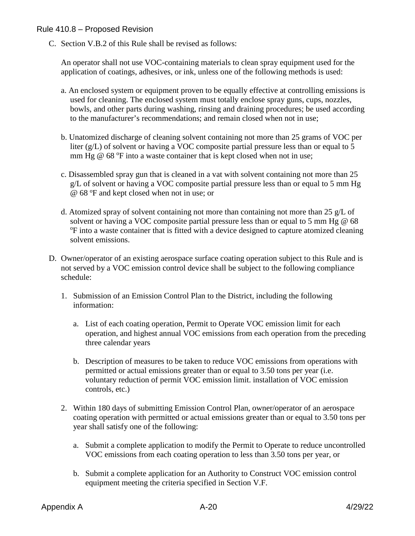C. Section V.B.2 of this Rule shall be revised as follows:

An operator shall not use VOC-containing materials to clean spray equipment used for the application of coatings, adhesives, or ink, unless one of the following methods is used:

- a. An enclosed system or equipment proven to be equally effective at controlling emissions is used for cleaning. The enclosed system must totally enclose spray guns, cups, nozzles, bowls, and other parts during washing, rinsing and draining procedures; be used according to the manufacturer's recommendations; and remain closed when not in use;
- b. Unatomized discharge of cleaning solvent containing not more than 25 grams of VOC per liter (g/L) of solvent or having a VOC composite partial pressure less than or equal to 5 mm Hg @ 68 °F into a waste container that is kept closed when not in use;
- c. Disassembled spray gun that is cleaned in a vat with solvent containing not more than 25 g/L of solvent or having a VOC composite partial pressure less than or equal to 5 mm Hg @ 68 °F and kept closed when not in use; or
- d. Atomized spray of solvent containing not more than containing not more than 25 g/L of solvent or having a VOC composite partial pressure less than or equal to 5 mm Hg @ 68 <sup>o</sup>F into a waste container that is fitted with a device designed to capture atomized cleaning solvent emissions.
- D. Owner/operator of an existing aerospace surface coating operation subject to this Rule and is not served by a VOC emission control device shall be subject to the following compliance schedule:
	- 1. Submission of an Emission Control Plan to the District, including the following information:
		- a. List of each coating operation, Permit to Operate VOC emission limit for each operation, and highest annual VOC emissions from each operation from the preceding three calendar years
		- b. Description of measures to be taken to reduce VOC emissions from operations with permitted or actual emissions greater than or equal to 3.50 tons per year (i.e. voluntary reduction of permit VOC emission limit. installation of VOC emission controls, etc.)
	- 2. Within 180 days of submitting Emission Control Plan, owner/operator of an aerospace coating operation with permitted or actual emissions greater than or equal to 3.50 tons per year shall satisfy one of the following:
		- a. Submit a complete application to modify the Permit to Operate to reduce uncontrolled VOC emissions from each coating operation to less than 3.50 tons per year, or
		- b. Submit a complete application for an Authority to Construct VOC emission control equipment meeting the criteria specified in Section V.F.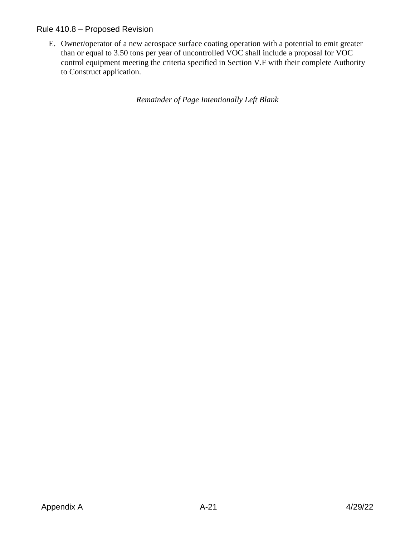E. Owner/operator of a new aerospace surface coating operation with a potential to emit greater than or equal to 3.50 tons per year of uncontrolled VOC shall include a proposal for VOC control equipment meeting the criteria specified in Section V.F with their complete Authority to Construct application.

*Remainder of Page Intentionally Left Blank*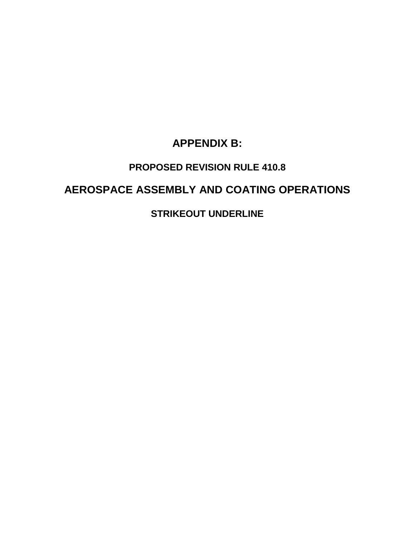# **APPENDIX B:**

### **PROPOSED REVISION RULE 410.8**

# **AEROSPACE ASSEMBLY AND COATING OPERATIONS**

### **STRIKEOUT UNDERLINE**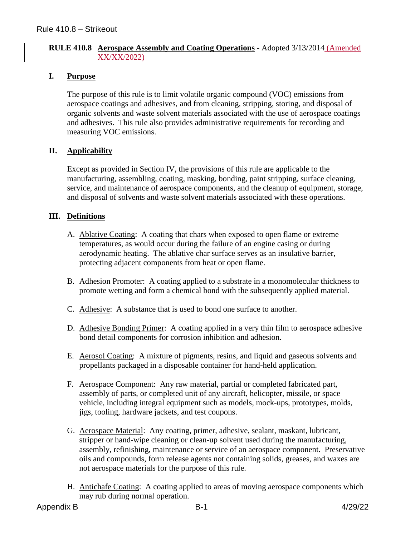#### **RULE 410.8 Aerospace Assembly and Coating Operations** - Adopted 3/13/2014 (Amended XX/XX/2022)

#### **I. Purpose**

The purpose of this rule is to limit volatile organic compound (VOC) emissions from aerospace coatings and adhesives, and from cleaning, stripping, storing, and disposal of organic solvents and waste solvent materials associated with the use of aerospace coatings and adhesives. This rule also provides administrative requirements for recording and measuring VOC emissions.

#### **II. Applicability**

Except as provided in Section IV, the provisions of this rule are applicable to the manufacturing, assembling, coating, masking, bonding, paint stripping, surface cleaning, service, and maintenance of aerospace components, and the cleanup of equipment, storage, and disposal of solvents and waste solvent materials associated with these operations.

#### **III. Definitions**

- A. Ablative Coating: A coating that chars when exposed to open flame or extreme temperatures, as would occur during the failure of an engine casing or during aerodynamic heating. The ablative char surface serves as an insulative barrier, protecting adjacent components from heat or open flame.
- B. Adhesion Promoter: A coating applied to a substrate in a monomolecular thickness to promote wetting and form a chemical bond with the subsequently applied material.
- C. Adhesive: A substance that is used to bond one surface to another.
- D. Adhesive Bonding Primer: A coating applied in a very thin film to aerospace adhesive bond detail components for corrosion inhibition and adhesion.
- E. Aerosol Coating: A mixture of pigments, resins, and liquid and gaseous solvents and propellants packaged in a disposable container for hand-held application.
- F. Aerospace Component: Any raw material, partial or completed fabricated part, assembly of parts, or completed unit of any aircraft, helicopter, missile, or space vehicle, including integral equipment such as models, mock-ups, prototypes, molds, jigs, tooling, hardware jackets, and test coupons.
- G. Aerospace Material: Any coating, primer, adhesive, sealant, maskant, lubricant, stripper or hand-wipe cleaning or clean-up solvent used during the manufacturing, assembly, refinishing, maintenance or service of an aerospace component. Preservative oils and compounds, form release agents not containing solids, greases, and waxes are not aerospace materials for the purpose of this rule.
- H. Antichafe Coating: A coating applied to areas of moving aerospace components which may rub during normal operation.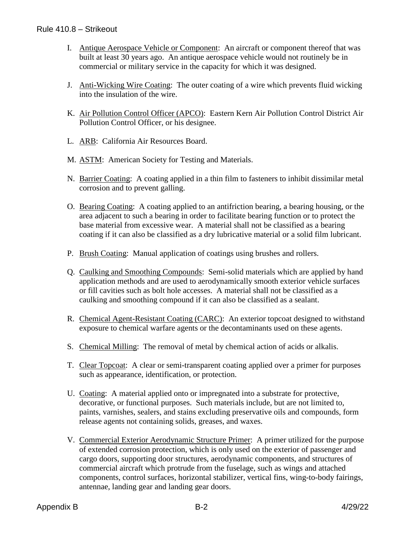- I. Antique Aerospace Vehicle or Component: An aircraft or component thereof that was built at least 30 years ago. An antique aerospace vehicle would not routinely be in commercial or military service in the capacity for which it was designed.
- J. Anti-Wicking Wire Coating: The outer coating of a wire which prevents fluid wicking into the insulation of the wire.
- K. Air Pollution Control Officer (APCO): Eastern Kern Air Pollution Control District Air Pollution Control Officer, or his designee.
- L. ARB: California Air Resources Board.
- M. ASTM: American Society for Testing and Materials.
- N. Barrier Coating: A coating applied in a thin film to fasteners to inhibit dissimilar metal corrosion and to prevent galling.
- O. Bearing Coating: A coating applied to an antifriction bearing, a bearing housing, or the area adjacent to such a bearing in order to facilitate bearing function or to protect the base material from excessive wear. A material shall not be classified as a bearing coating if it can also be classified as a dry lubricative material or a solid film lubricant.
- P. Brush Coating: Manual application of coatings using brushes and rollers.
- Q. Caulking and Smoothing Compounds: Semi-solid materials which are applied by hand application methods and are used to aerodynamically smooth exterior vehicle surfaces or fill cavities such as bolt hole accesses. A material shall not be classified as a caulking and smoothing compound if it can also be classified as a sealant.
- R. Chemical Agent-Resistant Coating (CARC): An exterior topcoat designed to withstand exposure to chemical warfare agents or the decontaminants used on these agents.
- S. Chemical Milling: The removal of metal by chemical action of acids or alkalis.
- T. Clear Topcoat: A clear or semi-transparent coating applied over a primer for purposes such as appearance, identification, or protection.
- U. Coating: A material applied onto or impregnated into a substrate for protective, decorative, or functional purposes. Such materials include, but are not limited to, paints, varnishes, sealers, and stains excluding preservative oils and compounds, form release agents not containing solids, greases, and waxes.
- V. Commercial Exterior Aerodynamic Structure Primer: A primer utilized for the purpose of extended corrosion protection, which is only used on the exterior of passenger and cargo doors, supporting door structures, aerodynamic components, and structures of commercial aircraft which protrude from the fuselage, such as wings and attached components, control surfaces, horizontal stabilizer, vertical fins, wing-to-body fairings, antennae, landing gear and landing gear doors.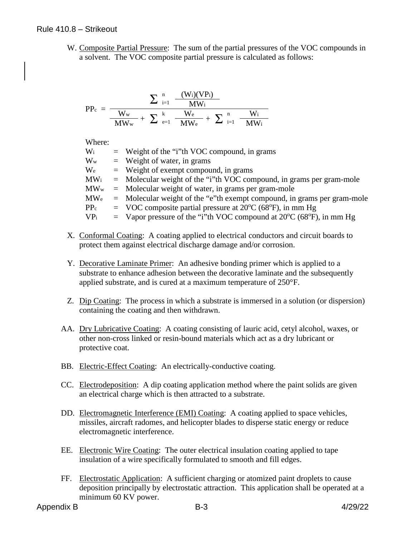W. Composite Partial Pressure: The sum of the partial pressures of the VOC compounds in a solvent. The VOC composite partial pressure is calculated as follows:

$$
PP_c \ = \ \frac{\displaystyle \sum_{i=1}^n \ \frac{(W_i)(VP_i)}{MW_i}}{\displaystyle \frac{W_w}{MW_w} + \ \sum_{e=1}^k \ \frac{W_e}{MW_e} + \ \sum_{i=1}^n \ \frac{W_i}{MW_i}}
$$

| $\rm W_i$              | $=$ Weight of the "i"th VOC compound, in grams                                            |
|------------------------|-------------------------------------------------------------------------------------------|
| $\rm W_{\rm w}$        | $=$ Weight of water, in grams                                                             |
| $\rm{W}_{\rm{e}}$      | $=$ Weight of exempt compound, in grams                                                   |
| $MW_i$                 | $=$ Molecular weight of the "i"th VOC compound, in grams per gram-mole                    |
| $\text{MW}_{\text{w}}$ | $=$ Molecular weight of water, in grams per gram-mole                                     |
| $\text{MW}_\text{e}$   | $=$ Molecular weight of the "e"th exempt compound, in grams per gram-mole                 |
| PPc                    | $=$ VOC composite partial pressure at 20 <sup>o</sup> C (68 <sup>o</sup> F), in mm Hg     |
| VP <sub>i</sub>        | $=$ Vapor pressure of the "i"th VOC compound at 20 $\degree$ C (68 $\degree$ F), in mm Hg |

- X. Conformal Coating: A coating applied to electrical conductors and circuit boards to protect them against electrical discharge damage and/or corrosion.
- Y. Decorative Laminate Primer: An adhesive bonding primer which is applied to a substrate to enhance adhesion between the decorative laminate and the subsequently applied substrate, and is cured at a maximum temperature of 250°F.
- Z. Dip Coating: The process in which a substrate is immersed in a solution (or dispersion) containing the coating and then withdrawn.
- AA. Dry Lubricative Coating: A coating consisting of lauric acid, cetyl alcohol, waxes, or other non-cross linked or resin-bound materials which act as a dry lubricant or protective coat.
- BB. Electric-Effect Coating: An electrically-conductive coating.
- CC. Electrodeposition: A dip coating application method where the paint solids are given an electrical charge which is then attracted to a substrate.
- DD. Electromagnetic Interference (EMI) Coating: A coating applied to space vehicles, missiles, aircraft radomes, and helicopter blades to disperse static energy or reduce electromagnetic interference.
- EE. Electronic Wire Coating: The outer electrical insulation coating applied to tape insulation of a wire specifically formulated to smooth and fill edges.
- FF. Electrostatic Application: A sufficient charging or atomized paint droplets to cause deposition principally by electrostatic attraction. This application shall be operated at a minimum 60 KV power.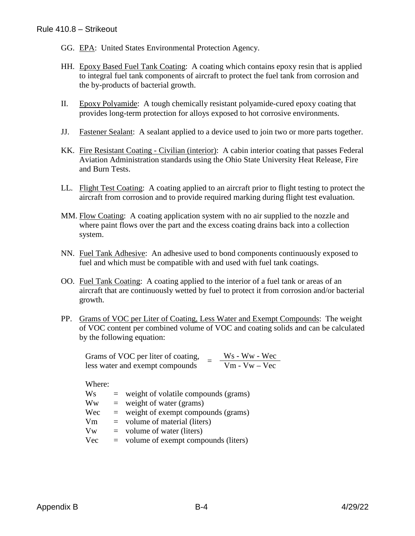- GG. EPA: United States Environmental Protection Agency.
- HH. Epoxy Based Fuel Tank Coating: A coating which contains epoxy resin that is applied to integral fuel tank components of aircraft to protect the fuel tank from corrosion and the by-products of bacterial growth.
- II. Epoxy Polyamide: A tough chemically resistant polyamide-cured epoxy coating that provides long-term protection for alloys exposed to hot corrosive environments.
- JJ. Fastener Sealant: A sealant applied to a device used to join two or more parts together.
- KK. Fire Resistant Coating Civilian (interior): A cabin interior coating that passes Federal Aviation Administration standards using the Ohio State University Heat Release, Fire and Burn Tests.
- LL. Flight Test Coating: A coating applied to an aircraft prior to flight testing to protect the aircraft from corrosion and to provide required marking during flight test evaluation.
- MM. Flow Coating: A coating application system with no air supplied to the nozzle and where paint flows over the part and the excess coating drains back into a collection system.
- NN. Fuel Tank Adhesive: An adhesive used to bond components continuously exposed to fuel and which must be compatible with and used with fuel tank coatings.
- OO. Fuel Tank Coating: A coating applied to the interior of a fuel tank or areas of an aircraft that are continuously wetted by fuel to protect it from corrosion and/or bacterial growth.
- PP. Grams of VOC per Liter of Coating, Less Water and Exempt Compounds: The weight of VOC content per combined volume of VOC and coating solids and can be calculated by the following equation:

| Grams of VOC per liter of coating, | $Ws - Ww - Wec$ |  |
|------------------------------------|-----------------|--|
| less water and exempt compounds    | $Vm - Vw - Vec$ |  |

| Ws  | $=$ weight of volatile compounds (grams) |
|-----|------------------------------------------|
| Ww  | $=$ weight of water (grams)              |
| Wec | $=$ weight of exempt compounds (grams)   |
| Vm  | $=$ volume of material (liters)          |
| Vw  | $=$ volume of water (liters)             |
| Vec | $=$ volume of exempt compounds (liters)  |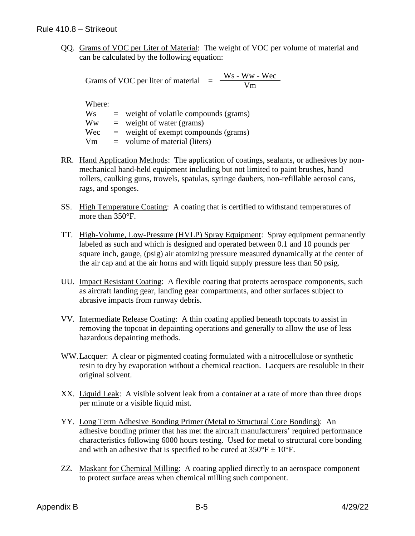QQ. Grams of VOC per Liter of Material: The weight of VOC per volume of material and can be calculated by the following equation:

Grams of VOC per liter of material  $=$   $\frac{Ws - Ww - Wec}{Vm}$ 

| Ws  | $=$ weight of volatile compounds (grams) |
|-----|------------------------------------------|
| Ww  | $=$ weight of water (grams)              |
| Wec | $=$ weight of exempt compounds (grams)   |
| Vm. | $=$ volume of material (liters)          |

- RR. Hand Application Methods: The application of coatings, sealants, or adhesives by nonmechanical hand-held equipment including but not limited to paint brushes, hand rollers, caulking guns, trowels, spatulas, syringe daubers, non-refillable aerosol cans, rags, and sponges.
- SS. High Temperature Coating: A coating that is certified to withstand temperatures of more than 350°F.
- TT. High-Volume, Low-Pressure (HVLP) Spray Equipment: Spray equipment permanently labeled as such and which is designed and operated between 0.1 and 10 pounds per square inch, gauge, (psig) air atomizing pressure measured dynamically at the center of the air cap and at the air horns and with liquid supply pressure less than 50 psig.
- UU. Impact Resistant Coating: A flexible coating that protects aerospace components, such as aircraft landing gear, landing gear compartments, and other surfaces subject to abrasive impacts from runway debris.
- VV. Intermediate Release Coating: A thin coating applied beneath topcoats to assist in removing the topcoat in depainting operations and generally to allow the use of less hazardous depainting methods.
- WW.Lacquer: A clear or pigmented coating formulated with a nitrocellulose or synthetic resin to dry by evaporation without a chemical reaction. Lacquers are resoluble in their original solvent.
- XX. Liquid Leak: A visible solvent leak from a container at a rate of more than three drops per minute or a visible liquid mist.
- YY. Long Term Adhesive Bonding Primer (Metal to Structural Core Bonding): An adhesive bonding primer that has met the aircraft manufacturers' required performance characteristics following 6000 hours testing. Used for metal to structural core bonding and with an adhesive that is specified to be cured at  $350^{\circ}F \pm 10^{\circ}F$ .
- ZZ. Maskant for Chemical Milling: A coating applied directly to an aerospace component to protect surface areas when chemical milling such component.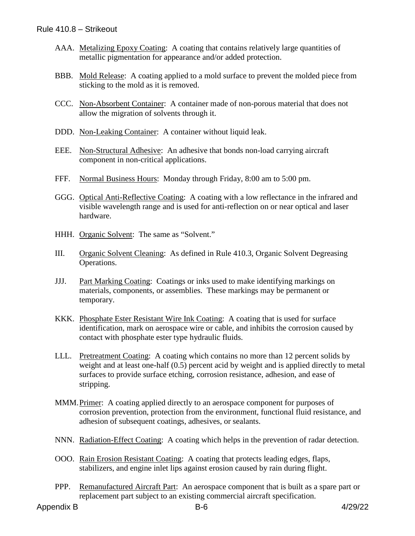- AAA. Metalizing Epoxy Coating: A coating that contains relatively large quantities of metallic pigmentation for appearance and/or added protection.
- BBB. Mold Release: A coating applied to a mold surface to prevent the molded piece from sticking to the mold as it is removed.
- CCC. Non-Absorbent Container: A container made of non-porous material that does not allow the migration of solvents through it.
- DDD. Non-Leaking Container: A container without liquid leak.
- EEE. Non-Structural Adhesive: An adhesive that bonds non-load carrying aircraft component in non-critical applications.
- FFF. Normal Business Hours: Monday through Friday, 8:00 am to 5:00 pm.
- GGG. Optical Anti-Reflective Coating: A coating with a low reflectance in the infrared and visible wavelength range and is used for anti-reflection on or near optical and laser hardware.
- HHH. Organic Solvent: The same as "Solvent."
- III. Organic Solvent Cleaning: As defined in Rule 410.3, Organic Solvent Degreasing Operations.
- JJJ. Part Marking Coating: Coatings or inks used to make identifying markings on materials, components, or assemblies. These markings may be permanent or temporary.
- KKK. Phosphate Ester Resistant Wire Ink Coating: A coating that is used for surface identification, mark on aerospace wire or cable, and inhibits the corrosion caused by contact with phosphate ester type hydraulic fluids.
- LLL. Pretreatment Coating: A coating which contains no more than 12 percent solids by weight and at least one-half (0.5) percent acid by weight and is applied directly to metal surfaces to provide surface etching, corrosion resistance, adhesion, and ease of stripping.
- MMM.Primer: A coating applied directly to an aerospace component for purposes of corrosion prevention, protection from the environment, functional fluid resistance, and adhesion of subsequent coatings, adhesives, or sealants.
- NNN. Radiation-Effect Coating: A coating which helps in the prevention of radar detection.
- OOO. Rain Erosion Resistant Coating: A coating that protects leading edges, flaps, stabilizers, and engine inlet lips against erosion caused by rain during flight.
- PPP. Remanufactured Aircraft Part: An aerospace component that is built as a spare part or replacement part subject to an existing commercial aircraft specification.

Appendix B B-6 4/29/22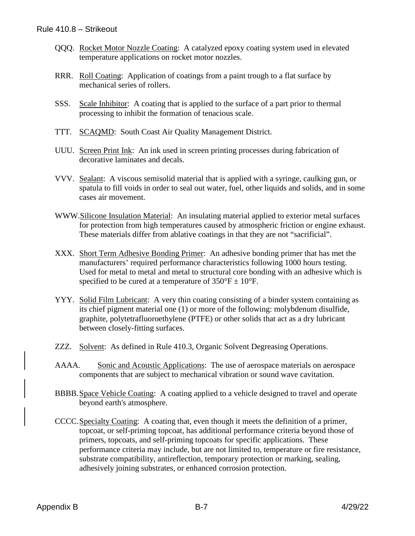- QQQ. Rocket Motor Nozzle Coating: A catalyzed epoxy coating system used in elevated temperature applications on rocket motor nozzles.
- RRR. Roll Coating: Application of coatings from a paint trough to a flat surface by mechanical series of rollers.
- SSS. Scale Inhibitor: A coating that is applied to the surface of a part prior to thermal processing to inhibit the formation of tenacious scale.
- TTT. SCAQMD: South Coast Air Quality Management District.
- UUU. Screen Print Ink: An ink used in screen printing processes during fabrication of decorative laminates and decals.
- VVV. Sealant: A viscous semisolid material that is applied with a syringe, caulking gun, or spatula to fill voids in order to seal out water, fuel, other liquids and solids, and in some cases air movement.
- WWW.Silicone Insulation Material: An insulating material applied to exterior metal surfaces for protection from high temperatures caused by atmospheric friction or engine exhaust. These materials differ from ablative coatings in that they are not "sacrificial".
- XXX. Short Term Adhesive Bonding Primer: An adhesive bonding primer that has met the manufacturers' required performance characteristics following 1000 hours testing. Used for metal to metal and metal to structural core bonding with an adhesive which is specified to be cured at a temperature of  $350^{\circ}$ F  $\pm$  10<sup>°</sup>F.
- YYY. Solid Film Lubricant: A very thin coating consisting of a binder system containing as its chief pigment material one (1) or more of the following: molybdenum disulfide, graphite, polytetrafluoroethylene (PTFE) or other solids that act as a dry lubricant between closely-fitting surfaces.
- ZZZ. Solvent: As defined in Rule 410.3, Organic Solvent Degreasing Operations.
- AAAA. Sonic and Acoustic Applications: The use of aerospace materials on aerospace components that are subject to mechanical vibration or sound wave cavitation.
- BBBB.Space Vehicle Coating: A coating applied to a vehicle designed to travel and operate beyond earth's atmosphere.
- CCCC.Specialty Coating: A coating that, even though it meets the definition of a primer, topcoat, or self-priming topcoat, has additional performance criteria beyond those of primers, topcoats, and self-priming topcoats for specific applications. These performance criteria may include, but are not limited to, temperature or fire resistance, substrate compatibility, antireflection, temporary protection or marking, sealing, adhesively joining substrates, or enhanced corrosion protection.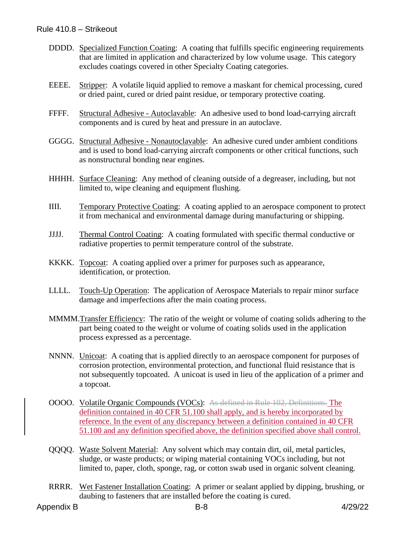- DDDD. Specialized Function Coating: A coating that fulfills specific engineering requirements that are limited in application and characterized by low volume usage. This category excludes coatings covered in other Specialty Coating categories.
- EEEE. Stripper: A volatile liquid applied to remove a maskant for chemical processing, cured or dried paint, cured or dried paint residue, or temporary protective coating.
- FFFF. Structural Adhesive Autoclavable: An adhesive used to bond load-carrying aircraft components and is cured by heat and pressure in an autoclave.
- GGGG. Structural Adhesive Nonautoclavable: An adhesive cured under ambient conditions and is used to bond load-carrying aircraft components or other critical functions, such as nonstructural bonding near engines.
- HHHH. Surface Cleaning: Any method of cleaning outside of a degreaser, including, but not limited to, wipe cleaning and equipment flushing.
- IIII. Temporary Protective Coating: A coating applied to an aerospace component to protect it from mechanical and environmental damage during manufacturing or shipping.
- JJJJ. Thermal Control Coating: A coating formulated with specific thermal conductive or radiative properties to permit temperature control of the substrate.
- KKKK. Topcoat: A coating applied over a primer for purposes such as appearance, identification, or protection.
- LLLL. Touch-Up Operation: The application of Aerospace Materials to repair minor surface damage and imperfections after the main coating process.
- MMMM.Transfer Efficiency: The ratio of the weight or volume of coating solids adhering to the part being coated to the weight or volume of coating solids used in the application process expressed as a percentage.
- NNNN. Unicoat: A coating that is applied directly to an aerospace component for purposes of corrosion protection, environmental protection, and functional fluid resistance that is not subsequently topcoated. A unicoat is used in lieu of the application of a primer and a topcoat.
- OOOO. Volatile Organic Compounds (VOCs): As defined in Rule 102, Definitions. The definition contained in 40 CFR 51.100 shall apply, and is hereby incorporated by reference. In the event of any discrepancy between a definition contained in 40 CFR 51.100 and any definition specified above, the definition specified above shall control.
- QQQQ. Waste Solvent Material: Any solvent which may contain dirt, oil, metal particles, sludge, or waste products; or wiping material containing VOCs including, but not limited to, paper, cloth, sponge, rag, or cotton swab used in organic solvent cleaning.
- RRRR. Wet Fastener Installation Coating: A primer or sealant applied by dipping, brushing, or daubing to fasteners that are installed before the coating is cured.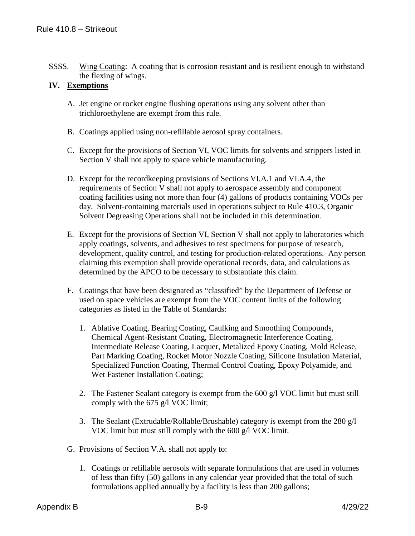SSSS. Wing Coating: A coating that is corrosion resistant and is resilient enough to withstand the flexing of wings.

#### **IV. Exemptions**

- A. Jet engine or rocket engine flushing operations using any solvent other than trichloroethylene are exempt from this rule.
- B. Coatings applied using non-refillable aerosol spray containers.
- C. Except for the provisions of Section VI, VOC limits for solvents and strippers listed in Section V shall not apply to space vehicle manufacturing.
- D. Except for the recordkeeping provisions of Sections VI.A.1 and VI.A.4, the requirements of Section V shall not apply to aerospace assembly and component coating facilities using not more than four (4) gallons of products containing VOCs per day. Solvent-containing materials used in operations subject to Rule 410.3, Organic Solvent Degreasing Operations shall not be included in this determination.
- E. Except for the provisions of Section VI, Section V shall not apply to laboratories which apply coatings, solvents, and adhesives to test specimens for purpose of research, development, quality control, and testing for production-related operations. Any person claiming this exemption shall provide operational records, data, and calculations as determined by the APCO to be necessary to substantiate this claim.
- F. Coatings that have been designated as "classified" by the Department of Defense or used on space vehicles are exempt from the VOC content limits of the following categories as listed in the Table of Standards:
	- 1. Ablative Coating, Bearing Coating, Caulking and Smoothing Compounds, Chemical Agent-Resistant Coating, Electromagnetic Interference Coating, Intermediate Release Coating, Lacquer, Metalized Epoxy Coating, Mold Release, Part Marking Coating, Rocket Motor Nozzle Coating, Silicone Insulation Material, Specialized Function Coating, Thermal Control Coating, Epoxy Polyamide, and Wet Fastener Installation Coating;
	- 2. The Fastener Sealant category is exempt from the 600 g/l VOC limit but must still comply with the 675 g/l VOC limit;
	- 3. The Sealant (Extrudable/Rollable/Brushable) category is exempt from the 280 g/l VOC limit but must still comply with the 600 g/l VOC limit.
- G. Provisions of Section V.A. shall not apply to:
	- 1. Coatings or refillable aerosols with separate formulations that are used in volumes of less than fifty (50) gallons in any calendar year provided that the total of such formulations applied annually by a facility is less than 200 gallons;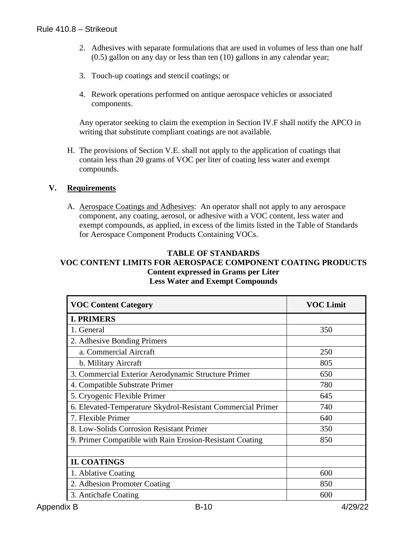- 2. Adhesives with separate formulations that are used in volumes of less than one half (0.5) gallon on any day or less than ten (10) gallons in any calendar year;
- 3. Touch-up coatings and stencil coatings; or
- 4. Rework operations performed on antique aerospace vehicles or associated components.

Any operator seeking to claim the exemption in Section IV.F shall notify the APCO in writing that substitute compliant coatings are not available.

H. The provisions of Section V.E. shall not apply to the application of coatings that contain less than 20 grams of VOC per liter of coating less water and exempt compounds.

#### **V. Requirements**

A. Aerospace Coatings and Adhesives: An operator shall not apply to any aerospace component, any coating, aerosol, or adhesive with a VOC content, less water and exempt compounds, as applied, in excess of the limits listed in the Table of Standards for Aerospace Component Products Containing VOCs.

#### **TABLE OF STANDARDS**

#### **VOC CONTENT LIMITS FOR AEROSPACE COMPONENT COATING PRODUCTS Content expressed in Grams per Liter Less Water and Exempt Compounds**

| <b>VOC Content Category</b>              |                                                             | <b>VOC Limit</b> |  |  |
|------------------------------------------|-------------------------------------------------------------|------------------|--|--|
| <b>I. PRIMERS</b>                        |                                                             |                  |  |  |
| 1. General                               |                                                             | 350              |  |  |
| 2. Adhesive Bonding Primers              |                                                             |                  |  |  |
| a. Commercial Aircraft                   |                                                             | 250              |  |  |
| b. Military Aircraft                     |                                                             | 805              |  |  |
|                                          | 3. Commercial Exterior Aerodynamic Structure Primer         | 650              |  |  |
| 4. Compatible Substrate Primer           |                                                             | 780              |  |  |
| 5. Cryogenic Flexible Primer             |                                                             | 645              |  |  |
|                                          | 6. Elevated-Temperature Skydrol-Resistant Commercial Primer | 740              |  |  |
| 7. Flexible Primer                       |                                                             | 640              |  |  |
| 8. Low-Solids Corrosion Resistant Primer |                                                             | 350              |  |  |
|                                          | 9. Primer Compatible with Rain Erosion-Resistant Coating    | 850              |  |  |
| <b>II. COATINGS</b>                      |                                                             |                  |  |  |
| 1. Ablative Coating                      |                                                             | 600              |  |  |
| 2. Adhesion Promoter Coating             |                                                             | 850              |  |  |
| 3. Antichafe Coating                     |                                                             | 600              |  |  |
| Appendix B                               | $B-10$                                                      | 4/29/22          |  |  |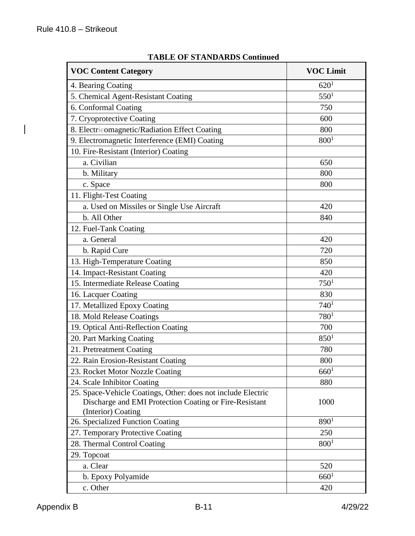$\begin{array}{c} \rule{0pt}{2ex} \rule{0pt}{2ex} \rule{0pt}{2ex} \rule{0pt}{2ex} \rule{0pt}{2ex} \rule{0pt}{2ex} \rule{0pt}{2ex} \rule{0pt}{2ex} \rule{0pt}{2ex} \rule{0pt}{2ex} \rule{0pt}{2ex} \rule{0pt}{2ex} \rule{0pt}{2ex} \rule{0pt}{2ex} \rule{0pt}{2ex} \rule{0pt}{2ex} \rule{0pt}{2ex} \rule{0pt}{2ex} \rule{0pt}{2ex} \rule{0pt}{2ex} \rule{0pt}{2ex} \rule{0pt}{2ex} \rule{0pt}{2ex} \rule{0pt}{$ 

| <b>VOC Content Category</b>                                  | <b>VOC Limit</b> |
|--------------------------------------------------------------|------------------|
| 4. Bearing Coating                                           | $620^1$          |
| 5. Chemical Agent-Resistant Coating                          | 550 <sup>1</sup> |
| 6. Conformal Coating                                         | 750              |
| 7. Cryoprotective Coating                                    | 600              |
| 8. Electricomagnetic/Radiation Effect Coating                | 800              |
| 9. Electromagnetic Interference (EMI) Coating                | 800 <sup>1</sup> |
| 10. Fire-Resistant (Interior) Coating                        |                  |
| a. Civilian                                                  | 650              |
| b. Military                                                  | 800              |
| c. Space                                                     | 800              |
| 11. Flight-Test Coating                                      |                  |
| a. Used on Missiles or Single Use Aircraft                   | 420              |
| b. All Other                                                 | 840              |
| 12. Fuel-Tank Coating                                        |                  |
| a. General                                                   | 420              |
| b. Rapid Cure                                                | 720              |
| 13. High-Temperature Coating                                 | 850              |
| 14. Impact-Resistant Coating                                 | 420              |
| 15. Intermediate Release Coating                             | 750 <sup>1</sup> |
| 16. Lacquer Coating                                          | 830              |
| 17. Metallized Epoxy Coating                                 | 740 <sup>1</sup> |
| 18. Mold Release Coatings                                    | $780^{1}$        |
| 19. Optical Anti-Reflection Coating                          | 700              |
| 20. Part Marking Coating                                     | 850 <sup>1</sup> |
| 21. Pretreatment Coating                                     | 780              |
| 22. Rain Erosion-Resistant Coating                           | 800              |
| 23. Rocket Motor Nozzle Coating                              | 660 <sup>1</sup> |
| 24. Scale Inhibitor Coating                                  | 880              |
| 25. Space-Vehicle Coatings, Other: does not include Electric |                  |
| Discharge and EMI Protection Coating or Fire-Resistant       | 1000             |
| (Interior) Coating                                           |                  |
| 26. Specialized Function Coating                             | 890 <sup>1</sup> |
| 27. Temporary Protective Coating                             | 250              |
| 28. Thermal Control Coating                                  | $800^{1}$        |
| 29. Topcoat                                                  |                  |
| a. Clear                                                     | 520              |
| b. Epoxy Polyamide                                           | 660 <sup>1</sup> |
| c. Other                                                     | 420              |

#### **TABLE OF STANDARDS Continued**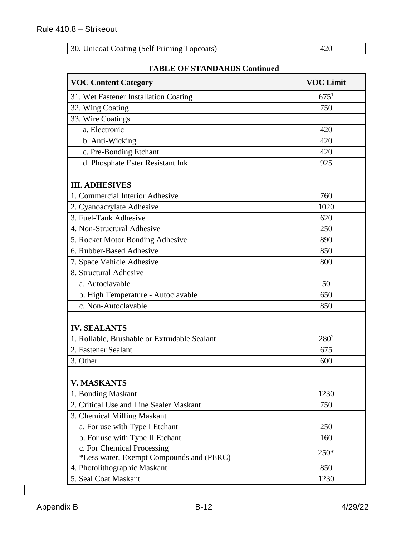| 30. Unicoat Coating (Self Priming Topcoats) |  |
|---------------------------------------------|--|

| <b>VOC Content Category</b>                  | <b>VOC Limit</b> |
|----------------------------------------------|------------------|
| 31. Wet Fastener Installation Coating        | $675^1$          |
| 32. Wing Coating                             | 750              |
| 33. Wire Coatings                            |                  |
| a. Electronic                                | 420              |
| b. Anti-Wicking                              | 420              |
| c. Pre-Bonding Etchant                       | 420              |
| d. Phosphate Ester Resistant Ink             | 925              |
| <b>III. ADHESIVES</b>                        |                  |
| 1. Commercial Interior Adhesive              | 760              |
| 2. Cyanoacrylate Adhesive                    | 1020             |
| 3. Fuel-Tank Adhesive                        | 620              |
| 4. Non-Structural Adhesive                   | 250              |
| 5. Rocket Motor Bonding Adhesive             | 890              |
| 6. Rubber-Based Adhesive                     | 850              |
| 7. Space Vehicle Adhesive                    | 800              |
| 8. Structural Adhesive                       |                  |
| a. Autoclavable                              | 50               |
| b. High Temperature - Autoclavable           | 650              |
| c. Non-Autoclavable                          | 850              |
| <b>IV. SEALANTS</b>                          |                  |
| 1. Rollable, Brushable or Extrudable Sealant | $280^2$          |
| 2. Fastener Sealant                          | 675              |
| 3. Other                                     | 600              |
|                                              |                  |
| <b>V. MASKANTS</b>                           |                  |
| 1. Bonding Maskant                           | 1230             |
| 2. Critical Use and Line Sealer Maskant      | 750              |
| 3. Chemical Milling Maskant                  |                  |
| a. For use with Type I Etchant               | 250              |
| b. For use with Type II Etchant              | 160              |
| c. For Chemical Processing                   | 250*             |
| *Less water, Exempt Compounds and (PERC)     |                  |
| 4. Photolithographic Maskant                 | 850              |
| 5. Seal Coat Maskant                         | 1230             |

#### **TABLE OF STANDARDS Continued**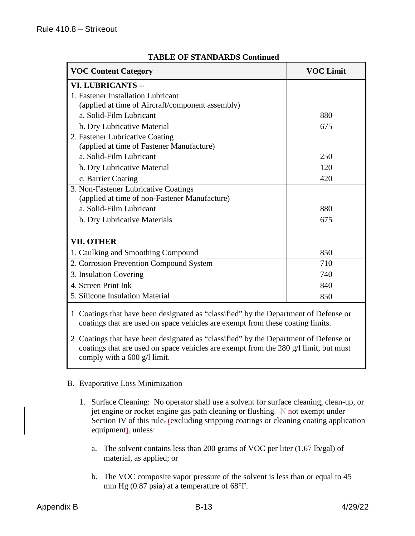| <b>VOC Content Category</b>                      | <b>VOC Limit</b> |
|--------------------------------------------------|------------------|
| <b>VI. LUBRICANTS --</b>                         |                  |
| 1. Fastener Installation Lubricant               |                  |
| (applied at time of Aircraft/component assembly) |                  |
| a. Solid-Film Lubricant                          | 880              |
| b. Dry Lubricative Material                      | 675              |
| 2. Fastener Lubricative Coating                  |                  |
| (applied at time of Fastener Manufacture)        |                  |
| a. Solid-Film Lubricant                          | 250              |
| b. Dry Lubricative Material                      | 120              |
| c. Barrier Coating                               | 420              |
| 3. Non-Fastener Lubricative Coatings             |                  |
| (applied at time of non-Fastener Manufacture)    |                  |
| a. Solid-Film Lubricant                          | 880              |
| b. Dry Lubricative Materials                     | 675              |
|                                                  |                  |
| <b>VII. OTHER</b>                                |                  |
| 1. Caulking and Smoothing Compound               | 850              |
| 2. Corrosion Prevention Compound System          | 710              |
| 3. Insulation Covering                           | 740              |
| 4. Screen Print Ink                              | 840              |
| 5. Silicone Insulation Material                  | 850              |

#### **TABLE OF STANDARDS Continued**

1 Coatings that have been designated as "classified" by the Department of Defense or coatings that are used on space vehicles are exempt from these coating limits.

2 Coatings that have been designated as "classified" by the Department of Defense or coatings that are used on space vehicles are exempt from the 280 g/l limit, but must comply with a 600 g/l limit.

#### B. Evaporative Loss Minimization

- 1. Surface Cleaning: No operator shall use a solvent for surface cleaning, clean-up, or jet engine or rocket engine gas path cleaning or flushing. N not exempt under Section IV of this rule, (excluding stripping coatings or cleaning coating application equipment), unless:
	- a. The solvent contains less than 200 grams of VOC per liter (1.67 lb/gal) of material, as applied; or
	- b. The VOC composite vapor pressure of the solvent is less than or equal to 45 mm Hg (0.87 psia) at a temperature of 68°F.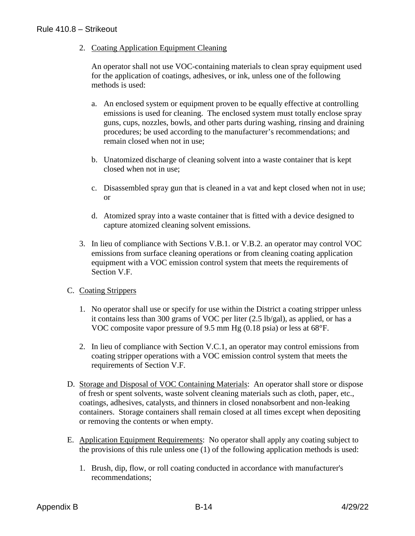#### 2. Coating Application Equipment Cleaning

An operator shall not use VOC-containing materials to clean spray equipment used for the application of coatings, adhesives, or ink, unless one of the following methods is used:

- a. An enclosed system or equipment proven to be equally effective at controlling emissions is used for cleaning. The enclosed system must totally enclose spray guns, cups, nozzles, bowls, and other parts during washing, rinsing and draining procedures; be used according to the manufacturer's recommendations; and remain closed when not in use;
- b. Unatomized discharge of cleaning solvent into a waste container that is kept closed when not in use;
- c. Disassembled spray gun that is cleaned in a vat and kept closed when not in use; or
- d. Atomized spray into a waste container that is fitted with a device designed to capture atomized cleaning solvent emissions.
- 3. In lieu of compliance with Sections V.B.1. or V.B.2. an operator may control VOC emissions from surface cleaning operations or from cleaning coating application equipment with a VOC emission control system that meets the requirements of Section V.F.
- C. Coating Strippers
	- 1. No operator shall use or specify for use within the District a coating stripper unless it contains less than 300 grams of VOC per liter (2.5 lb/gal), as applied, or has a VOC composite vapor pressure of 9.5 mm Hg (0.18 psia) or less at 68°F.
	- 2. In lieu of compliance with Section V.C.1, an operator may control emissions from coating stripper operations with a VOC emission control system that meets the requirements of Section V.F.
- D. Storage and Disposal of VOC Containing Materials: An operator shall store or dispose of fresh or spent solvents, waste solvent cleaning materials such as cloth, paper, etc., coatings, adhesives, catalysts, and thinners in closed nonabsorbent and non-leaking containers. Storage containers shall remain closed at all times except when depositing or removing the contents or when empty.
- E. Application Equipment Requirements: No operator shall apply any coating subject to the provisions of this rule unless one (1) of the following application methods is used:
	- 1. Brush, dip, flow, or roll coating conducted in accordance with manufacturer's recommendations;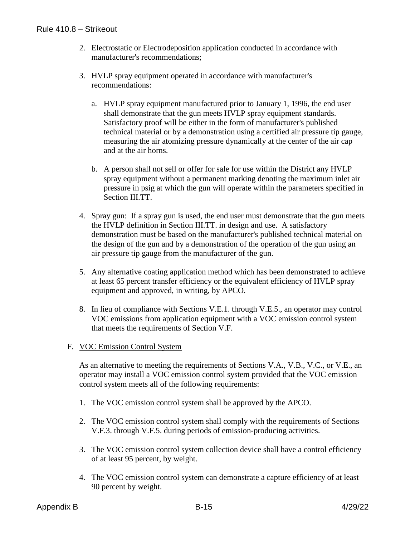#### Rule 410.8 – Strikeout

- 2. Electrostatic or Electrodeposition application conducted in accordance with manufacturer's recommendations;
- 3. HVLP spray equipment operated in accordance with manufacturer's recommendations:
	- a. HVLP spray equipment manufactured prior to January 1, 1996, the end user shall demonstrate that the gun meets HVLP spray equipment standards. Satisfactory proof will be either in the form of manufacturer's published technical material or by a demonstration using a certified air pressure tip gauge, measuring the air atomizing pressure dynamically at the center of the air cap and at the air horns.
	- b. A person shall not sell or offer for sale for use within the District any HVLP spray equipment without a permanent marking denoting the maximum inlet air pressure in psig at which the gun will operate within the parameters specified in Section III.TT.
- 4. Spray gun: If a spray gun is used, the end user must demonstrate that the gun meets the HVLP definition in Section III.TT. in design and use. A satisfactory demonstration must be based on the manufacturer's published technical material on the design of the gun and by a demonstration of the operation of the gun using an air pressure tip gauge from the manufacturer of the gun.
- 5. Any alternative coating application method which has been demonstrated to achieve at least 65 percent transfer efficiency or the equivalent efficiency of HVLP spray equipment and approved, in writing, by APCO.
- 8. In lieu of compliance with Sections V.E.1. through V.E.5., an operator may control VOC emissions from application equipment with a VOC emission control system that meets the requirements of Section V.F.

#### F. VOC Emission Control System

As an alternative to meeting the requirements of Sections V.A., V.B., V.C., or V.E., an operator may install a VOC emission control system provided that the VOC emission control system meets all of the following requirements:

- 1. The VOC emission control system shall be approved by the APCO.
- 2. The VOC emission control system shall comply with the requirements of Sections V.F.3. through V.F.5. during periods of emission-producing activities.
- 3. The VOC emission control system collection device shall have a control efficiency of at least 95 percent, by weight.
- 4. The VOC emission control system can demonstrate a capture efficiency of at least 90 percent by weight.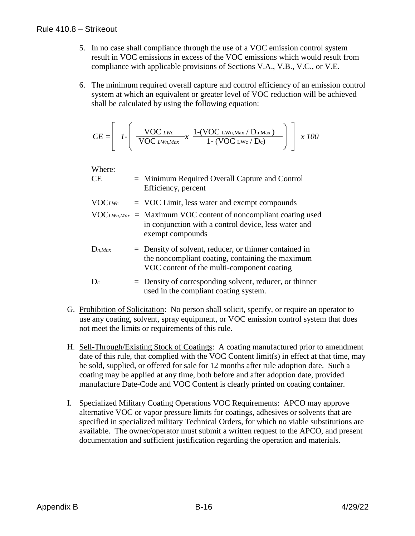- 5. In no case shall compliance through the use of a VOC emission control system result in VOC emissions in excess of the VOC emissions which would result from compliance with applicable provisions of Sections V.A., V.B., V.C., or V.E.
- 6. The minimum required overall capture and control efficiency of an emission control system at which an equivalent or greater level of VOC reduction will be achieved shall be calculated by using the following equation:

$$
CE = \left[ \left. I \left\{ \begin{array}{c} \sqrt{\text{OC}} \text{ LWc} \\ \sqrt{\text{OC}} \text{ LWn, Max} \end{array} \right\} \frac{1 - (\text{VOC}}{1 - (\text{VOC LWc} / D_c)} \right) \right] \left. x \text{ } 100 \right.
$$

Where:

| <b>CE</b> | $=$ Minimum Required Overall Capture and Control |
|-----------|--------------------------------------------------|
|           | Efficiency, percent                              |

VOC*LWc* = VOC Limit, less water and exempt compounds

\n
$$
\text{VOC}_{LWn, \text{Max}} = \text{Maximum VOC content of noncompliant coating used in conjunction with a control device, less water and \text{exempt compounds}
$$
\n

D<sub>n,Max</sub> = Density of solvent, reducer, or thinner contained in the noncompliant coating, containing the maximum VOC content of the multi-component coating

$$
D_c = Density of corresponding solvent, reducer, or thinner used in the compliant coating system.
$$

- G. Prohibition of Solicitation: No person shall solicit, specify, or require an operator to use any coating, solvent, spray equipment, or VOC emission control system that does not meet the limits or requirements of this rule.
- H. Sell-Through/Existing Stock of Coatings: A coating manufactured prior to amendment date of this rule, that complied with the VOC Content limit(s) in effect at that time, may be sold, supplied, or offered for sale for 12 months after rule adoption date. Such a coating may be applied at any time, both before and after adoption date, provided manufacture Date-Code and VOC Content is clearly printed on coating container.
- I. Specialized Military Coating Operations VOC Requirements: APCO may approve alternative VOC or vapor pressure limits for coatings, adhesives or solvents that are specified in specialized military Technical Orders, for which no viable substitutions are available. The owner/operator must submit a written request to the APCO, and present documentation and sufficient justification regarding the operation and materials.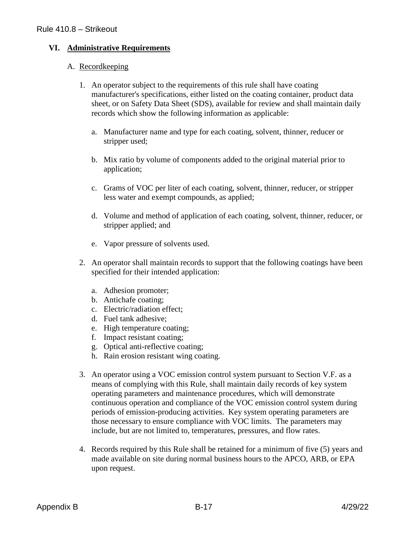#### **VI. Administrative Requirements**

#### A. Recordkeeping

- 1. An operator subject to the requirements of this rule shall have coating manufacturer's specifications, either listed on the coating container, product data sheet, or on Safety Data Sheet (SDS), available for review and shall maintain daily records which show the following information as applicable:
	- a. Manufacturer name and type for each coating, solvent, thinner, reducer or stripper used;
	- b. Mix ratio by volume of components added to the original material prior to application;
	- c. Grams of VOC per liter of each coating, solvent, thinner, reducer, or stripper less water and exempt compounds, as applied;
	- d. Volume and method of application of each coating, solvent, thinner, reducer, or stripper applied; and
	- e. Vapor pressure of solvents used.
- 2. An operator shall maintain records to support that the following coatings have been specified for their intended application:
	- a. Adhesion promoter;
	- b. Antichafe coating;
	- c. Electric/radiation effect;
	- d. Fuel tank adhesive;
	- e. High temperature coating;
	- f. Impact resistant coating;
	- g. Optical anti-reflective coating;
	- h. Rain erosion resistant wing coating.
- 3. An operator using a VOC emission control system pursuant to Section V.F. as a means of complying with this Rule, shall maintain daily records of key system operating parameters and maintenance procedures, which will demonstrate continuous operation and compliance of the VOC emission control system during periods of emission-producing activities. Key system operating parameters are those necessary to ensure compliance with VOC limits. The parameters may include, but are not limited to, temperatures, pressures, and flow rates.
- 4. Records required by this Rule shall be retained for a minimum of five (5) years and made available on site during normal business hours to the APCO, ARB, or EPA upon request.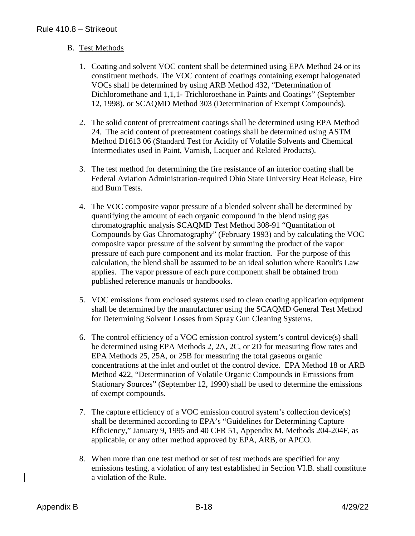#### B. Test Methods

- 1. Coating and solvent VOC content shall be determined using EPA Method 24 or its constituent methods. The VOC content of coatings containing exempt halogenated VOCs shall be determined by using ARB Method 432, "Determination of Dichloromethane and 1,1,1- Trichloroethane in Paints and Coatings" (September 12, 1998). or SCAQMD Method 303 (Determination of Exempt Compounds).
- 2. The solid content of pretreatment coatings shall be determined using EPA Method 24. The acid content of pretreatment coatings shall be determined using ASTM Method D1613 06 (Standard Test for Acidity of Volatile Solvents and Chemical Intermediates used in Paint, Varnish, Lacquer and Related Products).
- 3. The test method for determining the fire resistance of an interior coating shall be Federal Aviation Administration-required Ohio State University Heat Release, Fire and Burn Tests.
- 4. The VOC composite vapor pressure of a blended solvent shall be determined by quantifying the amount of each organic compound in the blend using gas chromatographic analysis SCAQMD Test Method 308-91 "Quantitation of Compounds by Gas Chromatography" (February 1993) and by calculating the VOC composite vapor pressure of the solvent by summing the product of the vapor pressure of each pure component and its molar fraction. For the purpose of this calculation, the blend shall be assumed to be an ideal solution where Raoult's Law applies. The vapor pressure of each pure component shall be obtained from published reference manuals or handbooks.
- 5. VOC emissions from enclosed systems used to clean coating application equipment shall be determined by the manufacturer using the SCAQMD General Test Method for Determining Solvent Losses from Spray Gun Cleaning Systems.
- 6. The control efficiency of a VOC emission control system's control device(s) shall be determined using EPA Methods 2, 2A, 2C, or 2D for measuring flow rates and EPA Methods 25, 25A, or 25B for measuring the total gaseous organic concentrations at the inlet and outlet of the control device. EPA Method 18 or ARB Method 422, "Determination of Volatile Organic Compounds in Emissions from Stationary Sources" (September 12, 1990) shall be used to determine the emissions of exempt compounds.
- 7. The capture efficiency of a VOC emission control system's collection device(s) shall be determined according to EPA's "Guidelines for Determining Capture Efficiency," January 9, 1995 and 40 CFR 51, Appendix M, Methods 204-204F, as applicable, or any other method approved by EPA, ARB, or APCO.
- 8. When more than one test method or set of test methods are specified for any emissions testing, a violation of any test established in Section VI.B. shall constitute a violation of the Rule.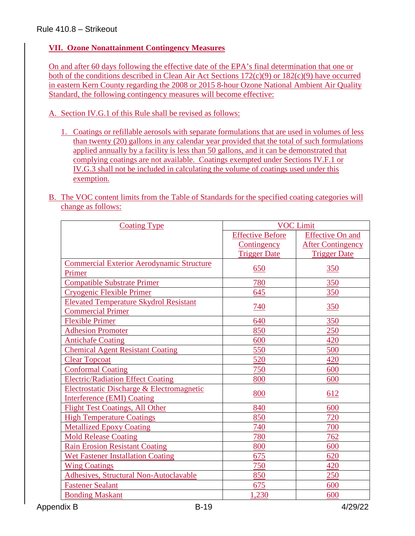#### **VII. Ozone Nonattainment Contingency Measures**

On and after 60 days following the effective date of the EPA's final determination that one or both of the conditions described in Clean Air Act Sections 172(c)(9) or 182(c)(9) have occurred in eastern Kern County regarding the 2008 or 2015 8-hour Ozone National Ambient Air Quality Standard, the following contingency measures will become effective:

A. Section IV.G.1 of this Rule shall be revised as follows:

- 1. Coatings or refillable aerosols with separate formulations that are used in volumes of less than twenty (20) gallons in any calendar year provided that the total of such formulations applied annually by a facility is less than 50 gallons, and it can be demonstrated that complying coatings are not available. Coatings exempted under Sections IV.F.1 or IV.G.3 shall not be included in calculating the volume of coatings used under this exemption.
- B. The VOC content limits from the Table of Standards for the specified coating categories will change as follows:

| <b>Coating Type</b>                              | <b>VOC Limit</b>        |                          |  |  |
|--------------------------------------------------|-------------------------|--------------------------|--|--|
|                                                  | <b>Effective Before</b> | <b>Effective On and</b>  |  |  |
|                                                  | Contingency             | <b>After Contingency</b> |  |  |
|                                                  | <b>Trigger Date</b>     | <b>Trigger Date</b>      |  |  |
| <b>Commercial Exterior Aerodynamic Structure</b> | 650                     | 350                      |  |  |
| Primer                                           |                         |                          |  |  |
| <b>Compatible Substrate Primer</b>               | 780                     | 350                      |  |  |
| Cryogenic Flexible Primer                        | 645                     | 350                      |  |  |
| <b>Elevated Temperature Skydrol Resistant</b>    | 740                     | 350                      |  |  |
| <b>Commercial Primer</b>                         |                         |                          |  |  |
| <b>Flexible Primer</b>                           | 640                     | 350                      |  |  |
| <b>Adhesion Promoter</b>                         | 850                     | 250                      |  |  |
| <b>Antichafe Coating</b>                         | 600                     | 420                      |  |  |
| <b>Chemical Agent Resistant Coating</b>          | 550                     | 500                      |  |  |
| <b>Clear Topcoat</b>                             | 520                     | 420                      |  |  |
| <b>Conformal Coating</b>                         | 750                     | 600                      |  |  |
| <b>Electric/Radiation Effect Coating</b>         | 800                     | 600                      |  |  |
| Electrostatic Discharge & Electromagnetic        | 800                     | 612                      |  |  |
| <b>Interference (EMI) Coating</b>                |                         |                          |  |  |
| <b>Flight Test Coatings, All Other</b>           | 840                     | 600                      |  |  |
| <b>High Temperature Coatings</b>                 | 850                     | 720                      |  |  |
| <b>Metallized Epoxy Coating</b>                  | 740                     | 700                      |  |  |
| <b>Mold Release Coating</b>                      | 780                     | 762                      |  |  |
| <b>Rain Erosion Resistant Coating</b>            | 800                     | 600                      |  |  |
| <b>Wet Fastener Installation Coating</b>         | 675                     | 620                      |  |  |
| <b>Wing Coatings</b>                             | 750                     | 420                      |  |  |
| Adhesives, Structural Non-Autoclavable           | 850                     | 250                      |  |  |
| <b>Fastener Sealant</b>                          | 675                     | 600                      |  |  |
| <b>Bonding Maskant</b>                           | 1,230                   | 600                      |  |  |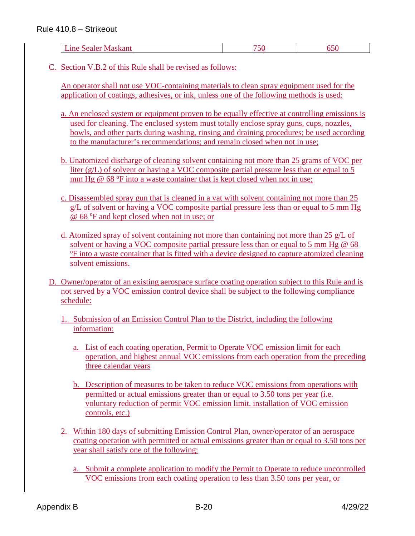#### Rule 410.8 – Strikeout

C. Section V.B.2 of this Rule shall be revised as follows:

An operator shall not use VOC-containing materials to clean spray equipment used for the application of coatings, adhesives, or ink, unless one of the following methods is used:

- a. An enclosed system or equipment proven to be equally effective at controlling emissions is used for cleaning. The enclosed system must totally enclose spray guns, cups, nozzles, bowls, and other parts during washing, rinsing and draining procedures; be used according to the manufacturer's recommendations; and remain closed when not in use;
- b. Unatomized discharge of cleaning solvent containing not more than 25 grams of VOC per liter (g/L) of solvent or having a VOC composite partial pressure less than or equal to 5 mm Hg @ 68 °F into a waste container that is kept closed when not in use;
- c. Disassembled spray gun that is cleaned in a vat with solvent containing not more than 25 g/L of solvent or having a VOC composite partial pressure less than or equal to 5 mm Hg @ 68 °F and kept closed when not in use; or
- d. Atomized spray of solvent containing not more than containing not more than 25 g/L of solvent or having a VOC composite partial pressure less than or equal to 5 mm Hg  $@$  68 <sup>o</sup>F into a waste container that is fitted with a device designed to capture atomized cleaning solvent emissions.
- D. Owner/operator of an existing aerospace surface coating operation subject to this Rule and is not served by a VOC emission control device shall be subject to the following compliance schedule:
	- 1. Submission of an Emission Control Plan to the District, including the following information:
		- a. List of each coating operation, Permit to Operate VOC emission limit for each operation, and highest annual VOC emissions from each operation from the preceding three calendar years
		- b. Description of measures to be taken to reduce VOC emissions from operations with permitted or actual emissions greater than or equal to 3.50 tons per year (i.e. voluntary reduction of permit VOC emission limit. installation of VOC emission controls, etc.)
	- 2. Within 180 days of submitting Emission Control Plan, owner/operator of an aerospace coating operation with permitted or actual emissions greater than or equal to 3.50 tons per year shall satisfy one of the following:
		- a. Submit a complete application to modify the Permit to Operate to reduce uncontrolled VOC emissions from each coating operation to less than 3.50 tons per year, or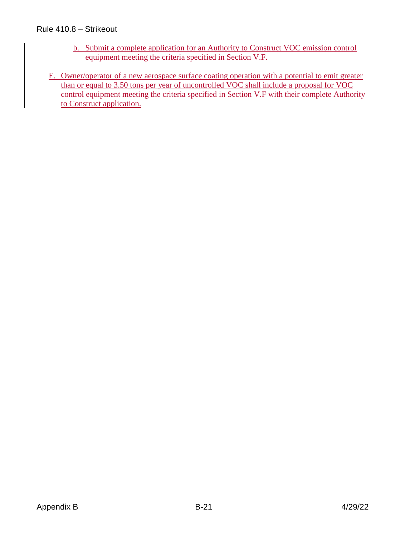#### Rule 410.8 – Strikeout

- b. Submit a complete application for an Authority to Construct VOC emission control equipment meeting the criteria specified in Section V.F.
- E. Owner/operator of a new aerospace surface coating operation with a potential to emit greater than or equal to 3.50 tons per year of uncontrolled VOC shall include a proposal for VOC control equipment meeting the criteria specified in Section V.F with their complete Authority to Construct application.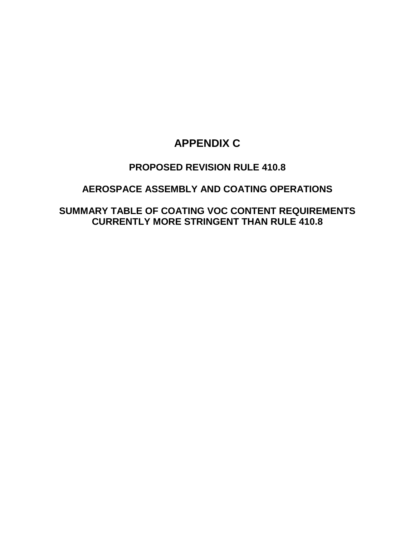# **APPENDIX C**

### **PROPOSED REVISION RULE 410.8**

### **AEROSPACE ASSEMBLY AND COATING OPERATIONS**

**SUMMARY TABLE OF COATING VOC CONTENT REQUIREMENTS CURRENTLY MORE STRINGENT THAN RULE 410.8**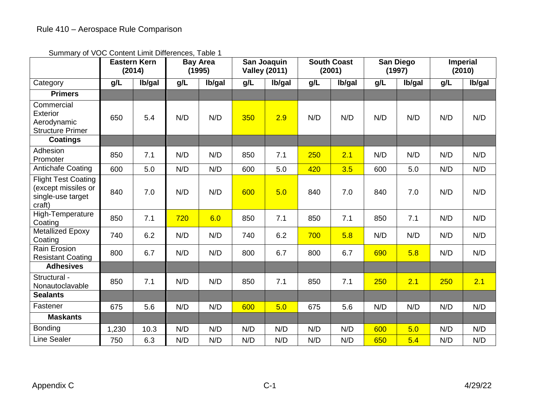|                                                                                  | <b>Eastern Kern</b><br>(2014) |        | <b>Bay Area</b><br>San Joaquin<br>(1995)<br><b>Valley (2011)</b> |        | <b>South Coast</b><br>(2001) |        | San Diego<br>(1997) |        | <b>Imperial</b><br>(2010) |        |     |        |
|----------------------------------------------------------------------------------|-------------------------------|--------|------------------------------------------------------------------|--------|------------------------------|--------|---------------------|--------|---------------------------|--------|-----|--------|
| Category                                                                         | g/L                           | Ib/gal | g/L                                                              | Ib/gal | g/L                          | Ib/gal | g/L                 | lb/gal | g/L                       | Ib/gal | g/L | Ib/gal |
| <b>Primers</b>                                                                   |                               |        |                                                                  |        |                              |        |                     |        |                           |        |     |        |
| Commercial<br>Exterior<br>Aerodynamic<br><b>Structure Primer</b>                 | 650                           | 5.4    | N/D                                                              | N/D    | 350                          | 2.9    | N/D                 | N/D    | N/D                       | N/D    | N/D | N/D    |
| <b>Coatings</b>                                                                  |                               |        |                                                                  |        |                              |        |                     |        |                           |        |     |        |
| Adhesion<br>Promoter                                                             | 850                           | 7.1    | N/D                                                              | N/D    | 850                          | 7.1    | 250                 | 2.1    | N/D                       | N/D    | N/D | N/D    |
| <b>Antichafe Coating</b>                                                         | 600                           | 5.0    | N/D                                                              | N/D    | 600                          | 5.0    | 420                 | 3.5    | 600                       | 5.0    | N/D | N/D    |
| <b>Flight Test Coating</b><br>(except missiles or<br>single-use target<br>craft) | 840                           | 7.0    | N/D                                                              | N/D    | 600                          | 5.0    | 840                 | 7.0    | 840                       | 7.0    | N/D | N/D    |
| High-Temperature<br>Coating                                                      | 850                           | 7.1    | 720                                                              | 6.0    | 850                          | 7.1    | 850                 | 7.1    | 850                       | 7.1    | N/D | N/D    |
| <b>Metallized Epoxy</b><br>Coating                                               | 740                           | 6.2    | N/D                                                              | N/D    | 740                          | 6.2    | 700                 | 5.8    | N/D                       | N/D    | N/D | N/D    |
| Rain Erosion<br><b>Resistant Coating</b>                                         | 800                           | 6.7    | N/D                                                              | N/D    | 800                          | 6.7    | 800                 | 6.7    | 690                       | 5.8    | N/D | N/D    |
| <b>Adhesives</b>                                                                 |                               |        |                                                                  |        |                              |        |                     |        |                           |        |     |        |
| Structural -<br>Nonautoclavable                                                  | 850                           | 7.1    | N/D                                                              | N/D    | 850                          | 7.1    | 850                 | 7.1    | 250                       | 2.1    | 250 | 2.1    |
| <b>Sealants</b>                                                                  |                               |        |                                                                  |        |                              |        |                     |        |                           |        |     |        |
| Fastener                                                                         | 675                           | 5.6    | N/D                                                              | N/D    | 600                          | 5.0    | 675                 | 5.6    | N/D                       | N/D    | N/D | N/D    |
| <b>Maskants</b>                                                                  |                               |        |                                                                  |        |                              |        |                     |        |                           |        |     |        |
| <b>Bonding</b>                                                                   | 1,230                         | 10.3   | N/D                                                              | N/D    | N/D                          | N/D    | N/D                 | N/D    | 600                       | 5.0    | N/D | N/D    |
| Line Sealer                                                                      | 750                           | 6.3    | N/D                                                              | N/D    | N/D                          | N/D    | N/D                 | N/D    | 650                       | 5.4    | N/D | N/D    |

Summary of VOC Content Limit Differences, Table 1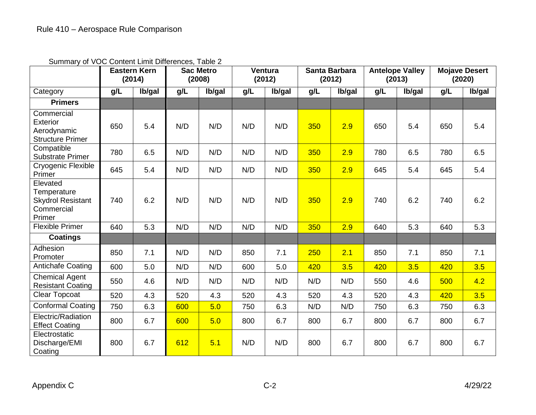|                                                                             | <b>Eastern Kern</b><br>(2014) |        | <b>Sac Metro</b><br>(2008) |        | Ventura<br>(2012) |        | Santa Barbara<br>(2012) |        | <b>Antelope Valley</b><br>(2013) |        | <b>Mojave Desert</b><br>(2020) |        |
|-----------------------------------------------------------------------------|-------------------------------|--------|----------------------------|--------|-------------------|--------|-------------------------|--------|----------------------------------|--------|--------------------------------|--------|
| Category                                                                    | g/L                           | Ib/gal | g/L                        | Ib/gal | g/L               | Ib/gal | g/L                     | Ib/gal | g/L                              | Ib/gal | g/L                            | Ib/gal |
| <b>Primers</b>                                                              |                               |        |                            |        |                   |        |                         |        |                                  |        |                                |        |
| Commercial<br><b>Exterior</b><br>Aerodynamic<br><b>Structure Primer</b>     | 650                           | 5.4    | N/D                        | N/D    | N/D               | N/D    | 350                     | 2.9    | 650                              | 5.4    | 650                            | 5.4    |
| Compatible<br><b>Substrate Primer</b>                                       | 780                           | 6.5    | N/D                        | N/D    | N/D               | N/D    | 350                     | 2.9    | 780                              | 6.5    | 780                            | 6.5    |
| Cryogenic Flexible<br>Primer                                                | 645                           | 5.4    | N/D                        | N/D    | N/D               | N/D    | 350                     | 2.9    | 645                              | 5.4    | 645                            | 5.4    |
| Elevated<br>Temperature<br><b>Skydrol Resistant</b><br>Commercial<br>Primer | 740                           | 6.2    | N/D                        | N/D    | N/D               | N/D    | 350                     | 2.9    | 740                              | 6.2    | 740                            | 6.2    |
| Flexible Primer                                                             | 640                           | 5.3    | N/D                        | N/D    | N/D               | N/D    | 350                     | 2.9    | 640                              | 5.3    | 640                            | 5.3    |
| <b>Coatings</b>                                                             |                               |        |                            |        |                   |        |                         |        |                                  |        |                                |        |
| Adhesion<br>Promoter                                                        | 850                           | 7.1    | N/D                        | N/D    | 850               | 7.1    | 250                     | 2.1    | 850                              | 7.1    | 850                            | 7.1    |
| <b>Antichafe Coating</b>                                                    | 600                           | 5.0    | N/D                        | N/D    | 600               | 5.0    | 420                     | 3.5    | 420                              | 3.5    | 420                            | 3.5    |
| <b>Chemical Agent</b><br><b>Resistant Coating</b>                           | 550                           | 4.6    | N/D                        | N/D    | N/D               | N/D    | N/D                     | N/D    | 550                              | 4.6    | 500                            | 4.2    |
| <b>Clear Topcoat</b>                                                        | 520                           | 4.3    | 520                        | 4.3    | 520               | 4.3    | 520                     | 4.3    | 520                              | 4.3    | 420                            | 3.5    |
| <b>Conformal Coating</b>                                                    | 750                           | 6.3    | 600                        | 5.0    | 750               | 6.3    | N/D                     | N/D    | 750                              | 6.3    | 750                            | 6.3    |
| Electric/Radiation<br><b>Effect Coating</b>                                 | 800                           | 6.7    | 600                        | 5.0    | 800               | 6.7    | 800                     | 6.7    | 800                              | 6.7    | 800                            | 6.7    |
| Electrostatic<br>Discharge/EMI<br>Coating                                   | 800                           | 6.7    | 612                        | 5.1    | N/D               | N/D    | 800                     | 6.7    | 800                              | 6.7    | 800                            | 6.7    |

Summary of VOC Content Limit Differences, Table 2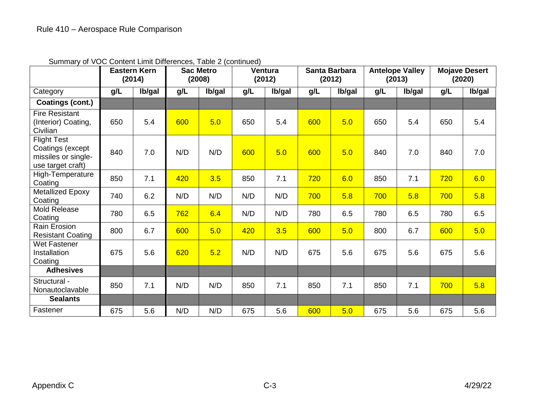|                                                                                    |     | <b>Eastern Kern</b><br>(2014) |     | <b>Sac Metro</b><br>(2008) |     | Ventura<br>(2012) |     | Santa Barbara<br>(2012) |     | <b>Antelope Valley</b><br>(2013) |     | <b>Mojave Desert</b><br>(2020) |
|------------------------------------------------------------------------------------|-----|-------------------------------|-----|----------------------------|-----|-------------------|-----|-------------------------|-----|----------------------------------|-----|--------------------------------|
| Category                                                                           | g/L | Ib/gal                        | g/L | Ib/gal                     | g/L | Ib/gal            | g/L | Ib/gal                  | g/L | Ib/gal                           | g/L | Ib/gal                         |
| <b>Coatings (cont.)</b>                                                            |     |                               |     |                            |     |                   |     |                         |     |                                  |     |                                |
| <b>Fire Resistant</b><br>(Interior) Coating,<br>Civilian                           | 650 | 5.4                           | 600 | 5.0                        | 650 | 5.4               | 600 | 5.0                     | 650 | 5.4                              | 650 | 5.4                            |
| <b>Flight Test</b><br>Coatings (except<br>missiles or single-<br>use target craft) | 840 | 7.0                           | N/D | N/D                        | 600 | 5.0               | 600 | 5.0                     | 840 | 7.0                              | 840 | 7.0                            |
| High-Temperature<br>Coating                                                        | 850 | 7.1                           | 420 | 3.5                        | 850 | 7.1               | 720 | 6.0                     | 850 | 7.1                              | 720 | 6.0                            |
| Metallized Epoxy<br>Coating                                                        | 740 | 6.2                           | N/D | N/D                        | N/D | N/D               | 700 | 5.8                     | 700 | 5.8                              | 700 | 5.8                            |
| Mold Release<br>Coating                                                            | 780 | 6.5                           | 762 | 6.4                        | N/D | N/D               | 780 | 6.5                     | 780 | 6.5                              | 780 | 6.5                            |
| Rain Erosion<br><b>Resistant Coating</b>                                           | 800 | 6.7                           | 600 | 5.0                        | 420 | 3.5               | 600 | 5.0                     | 800 | 6.7                              | 600 | 5.0                            |
| Wet Fastener<br>Installation<br>Coating                                            | 675 | 5.6                           | 620 | 5.2                        | N/D | N/D               | 675 | 5.6                     | 675 | 5.6                              | 675 | 5.6                            |
| <b>Adhesives</b>                                                                   |     |                               |     |                            |     |                   |     |                         |     |                                  |     |                                |
| Structural -<br>Nonautoclavable                                                    | 850 | 7.1                           | N/D | N/D                        | 850 | 7.1               | 850 | 7.1                     | 850 | 7.1                              | 700 | 5.8                            |
| <b>Sealants</b>                                                                    |     |                               |     |                            |     |                   |     |                         |     |                                  |     |                                |
| Fastener                                                                           | 675 | 5.6                           | N/D | N/D                        | 675 | 5.6               | 600 | 5.0                     | 675 | 5.6                              | 675 | 5.6                            |

Summary of VOC Content Limit Differences, Table 2 (continued)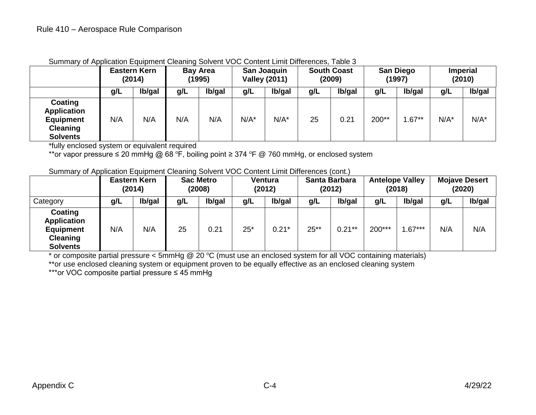|  |  |  | Summary of Application Equipment Cleaning Solvent VOC Content Limit Differences, Table 3 |  |
|--|--|--|------------------------------------------------------------------------------------------|--|
|--|--|--|------------------------------------------------------------------------------------------|--|

|                                                                                         |     | Eastern Kern<br>(2014) |     | <b>Bay Area</b><br>(1995) |         | San Joaquin<br><b>Valley (2011)</b> |     | <b>South Coast</b><br>(2009) | (1997) | <b>San Diego</b> | <b>Imperial</b> | (2010)  |
|-----------------------------------------------------------------------------------------|-----|------------------------|-----|---------------------------|---------|-------------------------------------|-----|------------------------------|--------|------------------|-----------------|---------|
|                                                                                         | g/L | Ib/gal                 | g/L | lb/gal                    | g/L     | lb/gal                              | g/L | lb/gal                       | g/L    | lb/gal           | g/L             | Ib/gal  |
| Coating<br><b>Application</b><br><b>Equipment</b><br><b>Cleaning</b><br><b>Solvents</b> | N/A | N/A                    | N/A | N/A                       | $N/A^*$ | $N/A^*$                             | 25  | 0.21                         | 200**  | $.67***$         | $N/A^*$         | $N/A^*$ |

\*fully enclosed system or equivalent required

\*\*or vapor pressure ≤ 20 mmHg @ 68 °F, boiling point ≥ 374 °F @ 760 mmHg, or enclosed system

Summary of Application Equipment Cleaning Solvent VOC Content Limit Differences (cont.)

|                                                                                         |     | Eastern Kern<br>(2014) | <b>Sac Metro</b> | (2008) |       | Ventura<br>(2012) | Santa Barbara | (2012)    |        | <b>Antelope Valley</b><br>(2018) | <b>Mojave Desert</b> | (2020) |
|-----------------------------------------------------------------------------------------|-----|------------------------|------------------|--------|-------|-------------------|---------------|-----------|--------|----------------------------------|----------------------|--------|
| Category                                                                                | g/L | Ib/gal                 | g/L              | lb/gal | g/L   | lb/gal            | g/L           | lb/gal    | g/L    | lb/gal                           | g/L                  | lb/gal |
| Coating<br><b>Application</b><br><b>Equipment</b><br><b>Cleaning</b><br><b>Solvents</b> | N/A | N/A                    | 25               | 0.21   | $25*$ | $0.21*$           | 25**          | $0.21***$ | 200*** | $.67***$                         | N/A                  | N/A    |

\* or composite partial pressure < 5mmHg @ 20 °C (must use an enclosed system for all VOC containing materials)

\*\*or use enclosed cleaning system or equipment proven to be equally effective as an enclosed cleaning system

\*\*\*or VOC composite partial pressure ≤ 45 mmHg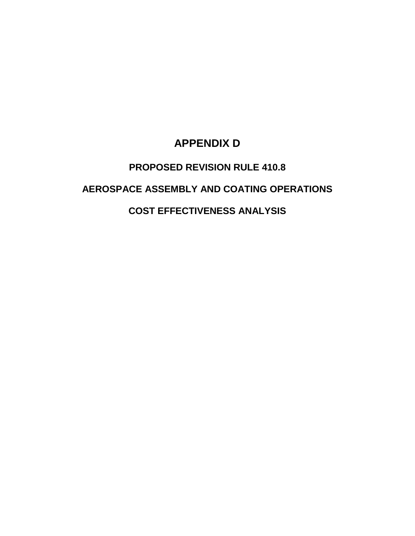# **APPENDIX D**

# **PROPOSED REVISION RULE 410.8 AEROSPACE ASSEMBLY AND COATING OPERATIONS COST EFFECTIVENESS ANALYSIS**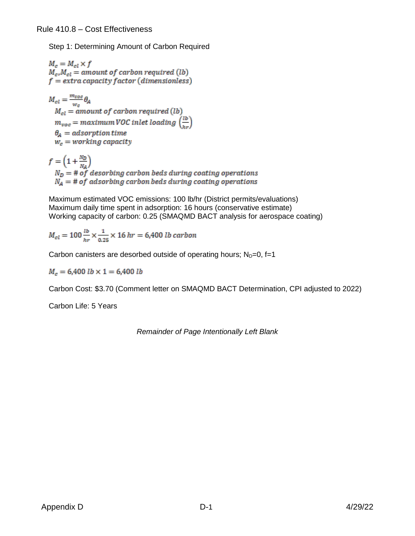Step 1: Determining Amount of Carbon Required

 $M_c = M_{cl} \times f$  $M_{c}M_{cl}$  = amount of carbon required (lb)  $f =$  extra capacity factor (dimensionless)  $\begin{array}{l} M_{cl} = \frac{m_{voc}}{w_c} \theta_A \\ M_{cl} = amount \: of \: carbon \: required \: (lb) \end{array}$  $m_{voc} = maximum \textit{VOC}$  inlet loading  $\left(\frac{lb}{bv}\right)$  $\theta_A =$  adsorption time  $w_c = working\ capacity$  $f = \left(1 + \frac{N_D}{N_A}\right)$ 

 $N_D = #$  of desorbing carbon beds during coating operations  $N_A = #$  of adsorbing carbon beds during coating operations

Maximum estimated VOC emissions: 100 lb/hr (District permits/evaluations) Maximum daily time spent in adsorption: 16 hours (conservative estimate) Working capacity of carbon: 0.25 (SMAQMD BACT analysis for aerospace coating)

$$
M_{cl} = 100 \tfrac{lb}{hr} \times \tfrac{1}{0.25} \times 16 \ hr = 6{,}400 \ lb \ carbon
$$

Carbon canisters are desorbed outside of operating hours;  $N_D=0$ , f=1

 $M_c = 6,400 lb \times 1 = 6,400 lb$ 

Carbon Cost: \$3.70 (Comment letter on SMAQMD BACT Determination, CPI adjusted to 2022)

Carbon Life: 5 Years

*Remainder of Page Intentionally Left Blank*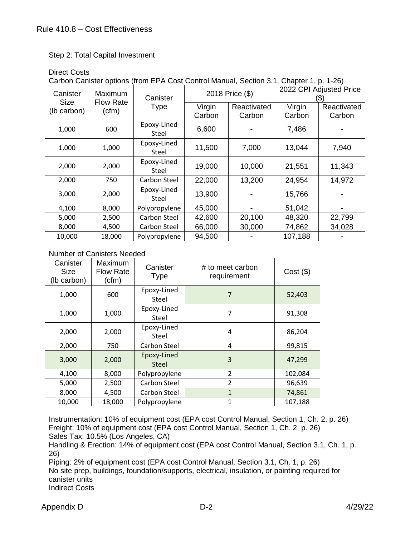#### Step 2: Total Capital Investment

Direct Costs

| Carbon Canister options (from EPA Cost Control Manual, Section 3.1, Chapter 1, p. 1-26) |                             |                      |        |                 |                                 |             |  |
|-----------------------------------------------------------------------------------------|-----------------------------|----------------------|--------|-----------------|---------------------------------|-------------|--|
| Canister<br><b>Size</b>                                                                 | Maximum<br><b>Flow Rate</b> | Canister             |        | 2018 Price (\$) | 2022 CPI Adjusted Price<br>(\$) |             |  |
| (lb carbon)                                                                             | (cfm)                       | Type                 | Virgin | Reactivated     | Virgin                          | Reactivated |  |
|                                                                                         |                             |                      | Carbon | Carbon          | Carbon                          | Carbon      |  |
| 1,000                                                                                   | 600                         | Epoxy-Lined<br>Steel | 6,600  |                 | 7,486                           |             |  |
| 1,000                                                                                   | 1,000                       | Epoxy-Lined<br>Steel | 11,500 | 7,000           | 13,044                          | 7,940       |  |
| 2,000                                                                                   | 2,000                       | Epoxy-Lined<br>Steel | 19,000 | 10,000          | 21,551                          | 11,343      |  |
| 2,000                                                                                   | 750                         | Carbon Steel         | 22,000 | 13,200          | 24,954                          | 14,972      |  |
| 3,000                                                                                   | 2,000                       | Epoxy-Lined<br>Steel | 13,900 |                 | 15,766                          |             |  |
| 4,100                                                                                   | 8,000                       | Polypropylene        | 45,000 |                 | 51,042                          |             |  |
| 5,000                                                                                   | 2,500                       | Carbon Steel         | 42,600 | 20,100          | 48,320                          | 22,799      |  |
| 8,000                                                                                   | 4,500                       | Carbon Steel         | 66,000 | 30,000          | 74,862                          | 34,028      |  |
| 10,000                                                                                  | 18,000                      | Polypropylene        | 94,500 |                 | 107,188                         |             |  |

Carbon Canister options (from EPA Cost Control Manual, Section 3.1, Chapter 1, p. 1-26)

Number of Canisters Needed

| Canister<br><b>Size</b><br>(Ib carbon) | Maximum<br><b>Flow Rate</b><br>(cfm) | Canister<br><b>Type</b> | # to meet carbon<br>requirement | $Cost($ \$) |
|----------------------------------------|--------------------------------------|-------------------------|---------------------------------|-------------|
| 1,000                                  | 600                                  | Epoxy-Lined<br>Steel    | 7                               | 52,403      |
| 1,000                                  | 1,000                                | Epoxy-Lined<br>Steel    | 7                               | 91,308      |
| 2,000                                  | 2,000                                | Epoxy-Lined<br>Steel    | 4                               | 86,204      |
| 2,000                                  | 750                                  | Carbon Steel            | 4                               | 99,815      |
| 3,000                                  | 2,000                                | Epoxy-Lined<br>Steel    | 3                               | 47,299      |
| 4,100                                  | 8,000                                | Polypropylene           | $\overline{2}$                  | 102,084     |
| 5,000                                  | 2,500                                | Carbon Steel            | $\overline{2}$                  | 96,639      |
| 8,000                                  | 4,500                                | Carbon Steel            | $\mathbf{1}$                    | 74,861      |
| 10,000                                 | 18,000                               | Polypropylene           | 1                               | 107,188     |

Instrumentation: 10% of equipment cost (EPA cost Control Manual, Section 1, Ch. 2, p. 26) Freight: 10% of equipment cost (EPA cost Control Manual, Section 1, Ch. 2, p. 26) Sales Tax: 10.5% (Los Angeles, CA)

Handling & Erection: 14% of equipment cost (EPA cost Control Manual, Section 3.1, Ch. 1, p. 26)

Piping: 2% of equipment cost (EPA cost Control Manual, Section 3.1, Ch. 1, p. 26) No site prep, buildings, foundation/supports, electrical, insulation, or painting required for canister units Indirect Costs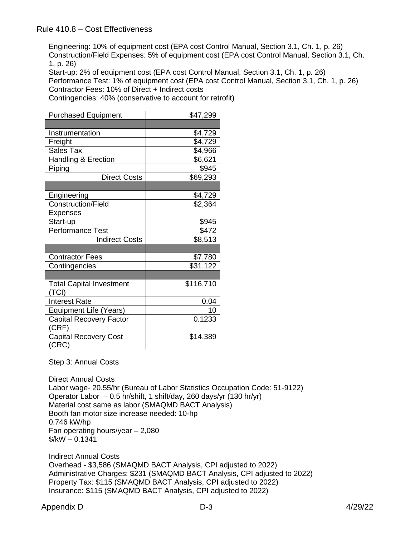#### Rule 410.8 – Cost Effectiveness

Engineering: 10% of equipment cost (EPA cost Control Manual, Section 3.1, Ch. 1, p. 26) Construction/Field Expenses: 5% of equipment cost (EPA cost Control Manual, Section 3.1, Ch. 1, p. 26)

Start-up: 2% of equipment cost (EPA cost Control Manual, Section 3.1, Ch. 1, p. 26)

Performance Test: 1% of equipment cost (EPA cost Control Manual, Section 3.1, Ch. 1, p. 26) Contractor Fees: 10% of Direct + Indirect costs

Contingencies: 40% (conservative to account for retrofit)

| <b>Purchased Equipment</b>      | \$47,299  |
|---------------------------------|-----------|
|                                 |           |
| Instrumentation                 | \$4,729   |
| Freight                         | \$4,729   |
| <b>Sales Tax</b>                | \$4,966   |
| Handling & Erection             | \$6,621   |
| Piping                          | \$945     |
| <b>Direct Costs</b>             | \$69,293  |
|                                 |           |
| Engineering                     | \$4,729   |
| <b>Construction/Field</b>       | \$2,364   |
| <b>Expenses</b>                 |           |
| Start-up                        | \$945     |
| <b>Performance Test</b>         | \$472     |
| <b>Indirect Costs</b>           | \$8,513   |
|                                 |           |
| <b>Contractor Fees</b>          | \$7,780   |
| Contingencies                   | \$31,122  |
|                                 |           |
| <b>Total Capital Investment</b> | \$116,710 |
| (TCI)                           |           |
| <b>Interest Rate</b>            | 0.04      |
| Equipment Life (Years)          | 10        |
| <b>Capital Recovery Factor</b>  | 0.1233    |
| (CRF)                           |           |
| <b>Capital Recovery Cost</b>    | \$14,389  |
| (CRC)                           |           |

Step 3: Annual Costs

Direct Annual Costs Labor wage- 20.55/hr (Bureau of Labor Statistics Occupation Code: 51-9122) Operator Labor – 0.5 hr/shift, 1 shift/day, 260 days/yr (130 hr/yr) Material cost same as labor (SMAQMD BACT Analysis) Booth fan motor size increase needed: 10-hp 0.746 kW/hp Fan operating hours/year – 2,080  $\frac{$}{W - 0.1341}$ 

Indirect Annual Costs Overhead - \$3,586 (SMAQMD BACT Analysis, CPI adjusted to 2022) Administrative Charges: \$231 (SMAQMD BACT Analysis, CPI adjusted to 2022) Property Tax: \$115 (SMAQMD BACT Analysis, CPI adjusted to 2022) Insurance: \$115 (SMAQMD BACT Analysis, CPI adjusted to 2022)